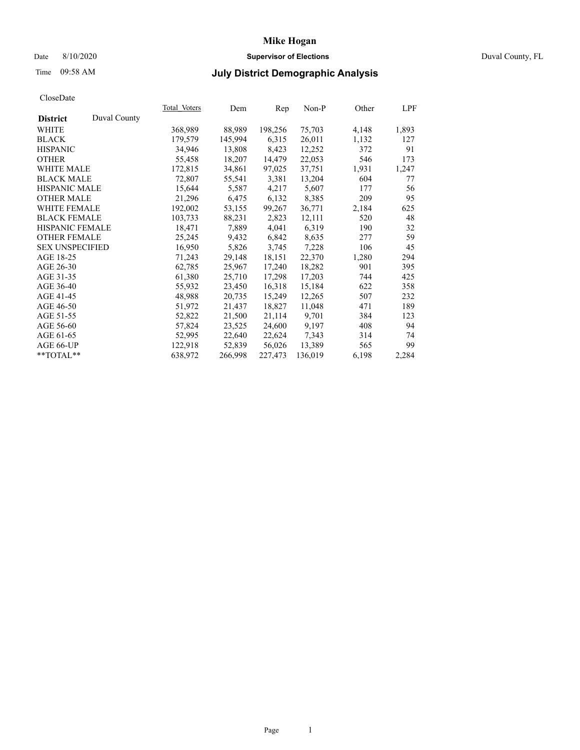# Date 8/10/2020 **Supervisor of Elections** Duval County, FL

# Time 09:58 AM **July District Demographic Analysis**

|                        |              | Total Voters | Dem     | Rep     | $Non-P$ | Other | <u>LPF</u> |
|------------------------|--------------|--------------|---------|---------|---------|-------|------------|
| <b>District</b>        | Duval County |              |         |         |         |       |            |
| WHITE                  |              | 368,989      | 88,989  | 198,256 | 75,703  | 4,148 | 1,893      |
| <b>BLACK</b>           |              | 179,579      | 145,994 | 6,315   | 26,011  | 1,132 | 127        |
| <b>HISPANIC</b>        |              | 34,946       | 13,808  | 8,423   | 12,252  | 372   | 91         |
| <b>OTHER</b>           |              | 55,458       | 18,207  | 14,479  | 22,053  | 546   | 173        |
| WHITE MALE             |              | 172,815      | 34,861  | 97,025  | 37,751  | 1,931 | 1,247      |
| <b>BLACK MALE</b>      |              | 72,807       | 55,541  | 3,381   | 13,204  | 604   | 77         |
| <b>HISPANIC MALE</b>   |              | 15,644       | 5,587   | 4,217   | 5,607   | 177   | 56         |
| <b>OTHER MALE</b>      |              | 21,296       | 6,475   | 6,132   | 8,385   | 209   | 95         |
| <b>WHITE FEMALE</b>    |              | 192,002      | 53,155  | 99,267  | 36,771  | 2,184 | 625        |
| <b>BLACK FEMALE</b>    |              | 103,733      | 88,231  | 2,823   | 12,111  | 520   | 48         |
| <b>HISPANIC FEMALE</b> |              | 18,471       | 7,889   | 4,041   | 6,319   | 190   | 32         |
| <b>OTHER FEMALE</b>    |              | 25,245       | 9,432   | 6,842   | 8,635   | 277   | 59         |
| <b>SEX UNSPECIFIED</b> |              | 16,950       | 5,826   | 3,745   | 7,228   | 106   | 45         |
| AGE 18-25              |              | 71,243       | 29,148  | 18,151  | 22,370  | 1,280 | 294        |
| AGE 26-30              |              | 62,785       | 25,967  | 17,240  | 18,282  | 901   | 395        |
| AGE 31-35              |              | 61,380       | 25,710  | 17,298  | 17,203  | 744   | 425        |
| AGE 36-40              |              | 55,932       | 23,450  | 16,318  | 15,184  | 622   | 358        |
| AGE 41-45              |              | 48,988       | 20,735  | 15,249  | 12,265  | 507   | 232        |
| AGE 46-50              |              | 51,972       | 21,437  | 18,827  | 11,048  | 471   | 189        |
| AGE 51-55              |              | 52,822       | 21,500  | 21,114  | 9,701   | 384   | 123        |
| AGE 56-60              |              | 57,824       | 23,525  | 24,600  | 9,197   | 408   | 94         |
| AGE 61-65              |              | 52,995       | 22,640  | 22,624  | 7,343   | 314   | 74         |
| AGE 66-UP              |              | 122,918      | 52,839  | 56,026  | 13,389  | 565   | 99         |
| $*$ TOTAL $*$          |              | 638,972      | 266,998 | 227,473 | 136,019 | 6,198 | 2,284      |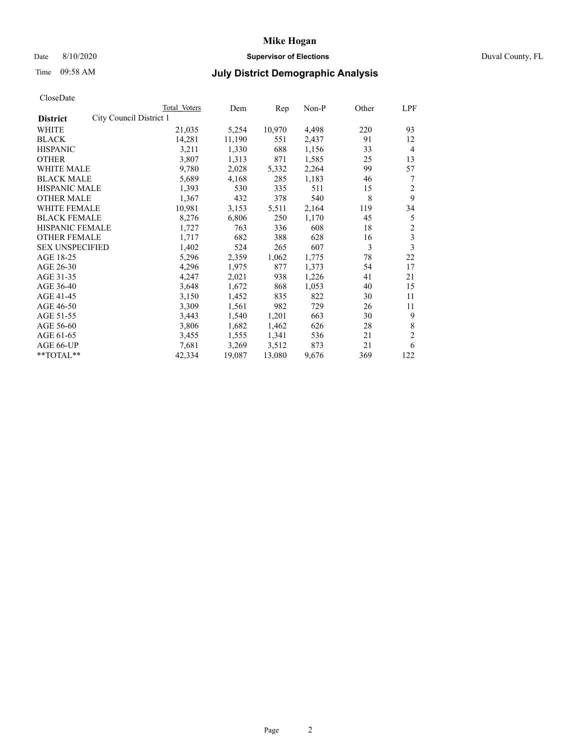## Date 8/10/2020 **Supervisor of Elections** Duval County, FL

# Time 09:58 AM **July District Demographic Analysis**

|                                            | <b>Total Voters</b> | Dem    | Rep    | $Non-P$ | Other | LPF                     |
|--------------------------------------------|---------------------|--------|--------|---------|-------|-------------------------|
| City Council District 1<br><b>District</b> |                     |        |        |         |       |                         |
| WHITE                                      | 21,035              | 5,254  | 10,970 | 4,498   | 220   | 93                      |
| <b>BLACK</b>                               | 14,281              | 11,190 | 551    | 2,437   | 91    | 12                      |
| <b>HISPANIC</b>                            | 3,211               | 1,330  | 688    | 1,156   | 33    | $\overline{4}$          |
| <b>OTHER</b>                               | 3,807               | 1,313  | 871    | 1,585   | 25    | 13                      |
| WHITE MALE                                 | 9,780               | 2,028  | 5,332  | 2,264   | 99    | 57                      |
| <b>BLACK MALE</b>                          | 5,689               | 4,168  | 285    | 1,183   | 46    | 7                       |
| <b>HISPANIC MALE</b>                       | 1,393               | 530    | 335    | 511     | 15    | $\overline{2}$          |
| <b>OTHER MALE</b>                          | 1,367               | 432    | 378    | 540     | 8     | 9                       |
| WHITE FEMALE                               | 10,981              | 3,153  | 5,511  | 2,164   | 119   | 34                      |
| <b>BLACK FEMALE</b>                        | 8,276               | 6,806  | 250    | 1,170   | 45    | 5                       |
| HISPANIC FEMALE                            | 1,727               | 763    | 336    | 608     | 18    | $\overline{c}$          |
| <b>OTHER FEMALE</b>                        | 1,717               | 682    | 388    | 628     | 16    | $\overline{\mathbf{3}}$ |
| <b>SEX UNSPECIFIED</b>                     | 1,402               | 524    | 265    | 607     | 3     | $\overline{3}$          |
| AGE 18-25                                  | 5,296               | 2,359  | 1,062  | 1,775   | 78    | 22                      |
| AGE 26-30                                  | 4,296               | 1,975  | 877    | 1,373   | 54    | 17                      |
| AGE 31-35                                  | 4,247               | 2,021  | 938    | 1,226   | 41    | 21                      |
| AGE 36-40                                  | 3,648               | 1,672  | 868    | 1,053   | 40    | 15                      |
| AGE 41-45                                  | 3,150               | 1,452  | 835    | 822     | 30    | 11                      |
| AGE 46-50                                  | 3,309               | 1,561  | 982    | 729     | 26    | 11                      |
| AGE 51-55                                  | 3,443               | 1,540  | 1,201  | 663     | 30    | 9                       |
| AGE 56-60                                  | 3,806               | 1,682  | 1,462  | 626     | 28    | 8                       |
| AGE 61-65                                  | 3,455               | 1,555  | 1,341  | 536     | 21    | $\overline{2}$          |
| AGE 66-UP                                  | 7,681               | 3,269  | 3,512  | 873     | 21    | 6                       |
| **TOTAL**                                  | 42,334              | 19,087 | 13,080 | 9,676   | 369   | 122                     |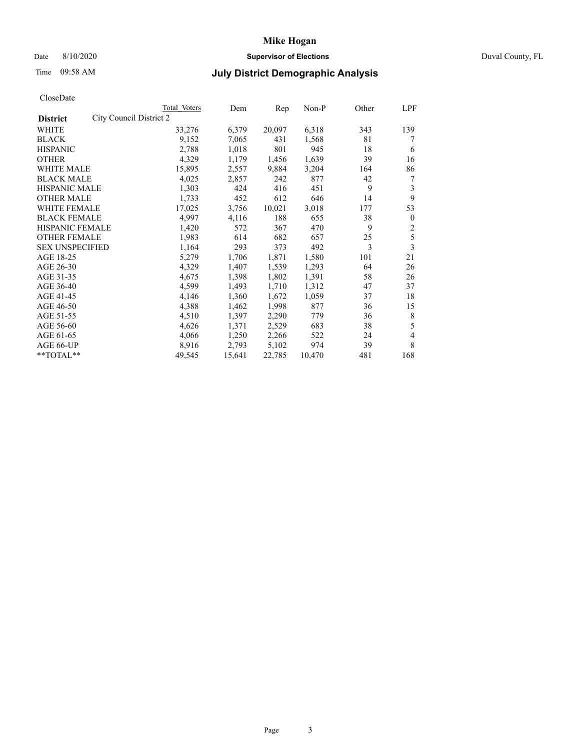# Date 8/10/2020 **Supervisor of Elections** Duval County, FL

# Time 09:58 AM **July District Demographic Analysis**

|                                            | <b>Total Voters</b> | Dem    | Rep    | $Non-P$ | Other | LPF            |
|--------------------------------------------|---------------------|--------|--------|---------|-------|----------------|
| City Council District 2<br><b>District</b> |                     |        |        |         |       |                |
| WHITE                                      | 33,276              | 6,379  | 20,097 | 6,318   | 343   | 139            |
| <b>BLACK</b>                               | 9,152               | 7,065  | 431    | 1,568   | 81    | 7              |
| <b>HISPANIC</b>                            | 2,788               | 1,018  | 801    | 945     | 18    | 6              |
| <b>OTHER</b>                               | 4,329               | 1,179  | 1,456  | 1,639   | 39    | 16             |
| <b>WHITE MALE</b>                          | 15,895              | 2,557  | 9,884  | 3,204   | 164   | 86             |
| <b>BLACK MALE</b>                          | 4,025               | 2,857  | 242    | 877     | 42    | 7              |
| <b>HISPANIC MALE</b>                       | 1,303               | 424    | 416    | 451     | 9     | 3              |
| <b>OTHER MALE</b>                          | 1,733               | 452    | 612    | 646     | 14    | 9              |
| WHITE FEMALE                               | 17,025              | 3,756  | 10,021 | 3,018   | 177   | 53             |
| <b>BLACK FEMALE</b>                        | 4,997               | 4,116  | 188    | 655     | 38    | $\mathbf{0}$   |
| <b>HISPANIC FEMALE</b>                     | 1,420               | 572    | 367    | 470     | 9     | $\overline{c}$ |
| <b>OTHER FEMALE</b>                        | 1,983               | 614    | 682    | 657     | 25    | 5              |
| <b>SEX UNSPECIFIED</b>                     | 1,164               | 293    | 373    | 492     | 3     | 3              |
| AGE 18-25                                  | 5,279               | 1,706  | 1,871  | 1,580   | 101   | 21             |
| AGE 26-30                                  | 4,329               | 1,407  | 1,539  | 1,293   | 64    | 26             |
| AGE 31-35                                  | 4,675               | 1,398  | 1,802  | 1,391   | 58    | 26             |
| AGE 36-40                                  | 4,599               | 1,493  | 1,710  | 1,312   | 47    | 37             |
| AGE 41-45                                  | 4,146               | 1,360  | 1,672  | 1,059   | 37    | 18             |
| AGE 46-50                                  | 4,388               | 1,462  | 1,998  | 877     | 36    | 15             |
| AGE 51-55                                  | 4,510               | 1,397  | 2,290  | 779     | 36    | 8              |
| AGE 56-60                                  | 4,626               | 1,371  | 2,529  | 683     | 38    | 5              |
| AGE 61-65                                  | 4,066               | 1,250  | 2,266  | 522     | 24    | 4              |
| AGE 66-UP                                  | 8,916               | 2,793  | 5,102  | 974     | 39    | 8              |
| $*$ $TOTAL**$                              | 49,545              | 15,641 | 22,785 | 10,470  | 481   | 168            |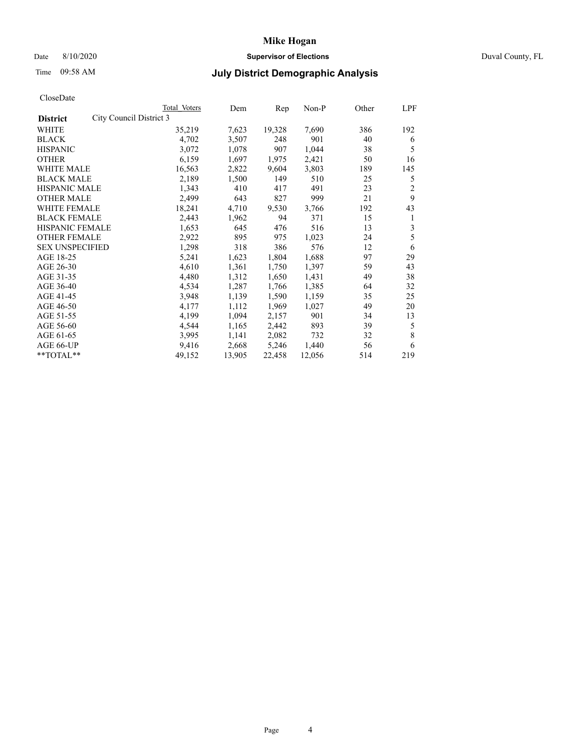# Date 8/10/2020 **Supervisor of Elections** Duval County, FL

# Time 09:58 AM **July District Demographic Analysis**

|                        |                         | Total Voters | Dem    | Rep    | $Non-P$ | Other | LPF |
|------------------------|-------------------------|--------------|--------|--------|---------|-------|-----|
| <b>District</b>        | City Council District 3 |              |        |        |         |       |     |
| WHITE                  |                         | 35,219       | 7,623  | 19,328 | 7,690   | 386   | 192 |
| <b>BLACK</b>           |                         | 4,702        | 3,507  | 248    | 901     | 40    | 6   |
| <b>HISPANIC</b>        |                         | 3,072        | 1,078  | 907    | 1,044   | 38    | 5   |
| <b>OTHER</b>           |                         | 6,159        | 1,697  | 1,975  | 2,421   | 50    | 16  |
| WHITE MALE             |                         | 16,563       | 2,822  | 9,604  | 3,803   | 189   | 145 |
| <b>BLACK MALE</b>      |                         | 2,189        | 1,500  | 149    | 510     | 25    | 5   |
| <b>HISPANIC MALE</b>   |                         | 1,343        | 410    | 417    | 491     | 23    | 2   |
| <b>OTHER MALE</b>      |                         | 2,499        | 643    | 827    | 999     | 21    | 9   |
| WHITE FEMALE           |                         | 18,241       | 4,710  | 9,530  | 3,766   | 192   | 43  |
| <b>BLACK FEMALE</b>    |                         | 2,443        | 1,962  | 94     | 371     | 15    | 1   |
| HISPANIC FEMALE        |                         | 1,653        | 645    | 476    | 516     | 13    | 3   |
| <b>OTHER FEMALE</b>    |                         | 2,922        | 895    | 975    | 1,023   | 24    | 5   |
| <b>SEX UNSPECIFIED</b> |                         | 1,298        | 318    | 386    | 576     | 12    | 6   |
| AGE 18-25              |                         | 5,241        | 1,623  | 1,804  | 1,688   | 97    | 29  |
| AGE 26-30              |                         | 4,610        | 1,361  | 1,750  | 1,397   | 59    | 43  |
| AGE 31-35              |                         | 4,480        | 1,312  | 1,650  | 1,431   | 49    | 38  |
| AGE 36-40              |                         | 4,534        | 1,287  | 1,766  | 1,385   | 64    | 32  |
| AGE 41-45              |                         | 3,948        | 1,139  | 1,590  | 1,159   | 35    | 25  |
| AGE 46-50              |                         | 4,177        | 1,112  | 1,969  | 1,027   | 49    | 20  |
| AGE 51-55              |                         | 4,199        | 1,094  | 2,157  | 901     | 34    | 13  |
| AGE 56-60              |                         | 4,544        | 1,165  | 2,442  | 893     | 39    | 5   |
| AGE 61-65              |                         | 3,995        | 1,141  | 2,082  | 732     | 32    | 8   |
| AGE 66-UP              |                         | 9,416        | 2,668  | 5,246  | 1,440   | 56    | 6   |
| **TOTAL**              |                         | 49,152       | 13,905 | 22,458 | 12,056  | 514   | 219 |
|                        |                         |              |        |        |         |       |     |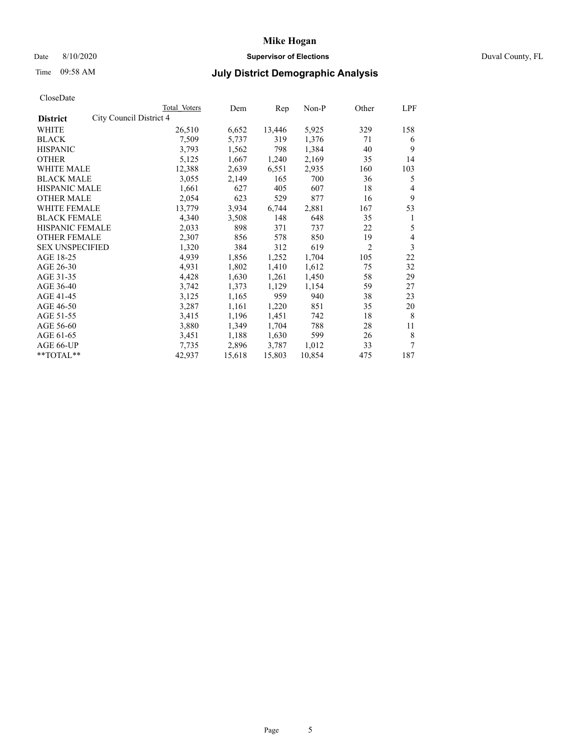# Date 8/10/2020 **Supervisor of Elections** Duval County, FL

# Time 09:58 AM **July District Demographic Analysis**

| <b>Total Voters</b>     | Dem    | Rep    | Non-P  | Other          | LPF |
|-------------------------|--------|--------|--------|----------------|-----|
| City Council District 4 |        |        |        |                |     |
| 26,510                  | 6,652  | 13,446 | 5,925  | 329            | 158 |
| 7,509                   | 5,737  | 319    | 1,376  | 71             | 6   |
| 3,793                   | 1,562  | 798    | 1,384  | 40             | 9   |
| 5,125                   | 1,667  | 1,240  | 2,169  | 35             | 14  |
| 12,388                  | 2,639  | 6,551  | 2,935  | 160            | 103 |
| 3,055                   | 2,149  | 165    | 700    | 36             | 5   |
| 1,661                   | 627    | 405    | 607    | 18             | 4   |
| 2,054                   | 623    | 529    | 877    | 16             | 9   |
| 13,779                  | 3,934  | 6,744  | 2,881  | 167            | 53  |
| 4,340                   | 3,508  | 148    | 648    | 35             | 1   |
| 2,033                   | 898    | 371    | 737    | 22             | 5   |
| 2,307                   | 856    | 578    | 850    | 19             | 4   |
| 1,320                   | 384    | 312    | 619    | $\overline{2}$ | 3   |
| 4,939                   | 1,856  | 1,252  | 1,704  | 105            | 22  |
| 4,931                   | 1,802  | 1,410  | 1,612  | 75             | 32  |
| 4,428                   | 1,630  | 1,261  | 1,450  | 58             | 29  |
| 3,742                   | 1,373  | 1,129  | 1,154  | 59             | 27  |
| 3,125                   | 1,165  | 959    | 940    | 38             | 23  |
| 3,287                   | 1,161  | 1,220  | 851    | 35             | 20  |
| 3,415                   | 1,196  | 1,451  | 742    | 18             | 8   |
| 3,880                   | 1,349  | 1,704  | 788    | 28             | 11  |
| 3,451                   | 1,188  | 1,630  | 599    | 26             | 8   |
| 7,735                   | 2,896  | 3,787  | 1,012  | 33             | 7   |
| 42,937                  | 15,618 | 15,803 | 10,854 | 475            | 187 |
|                         |        |        |        |                |     |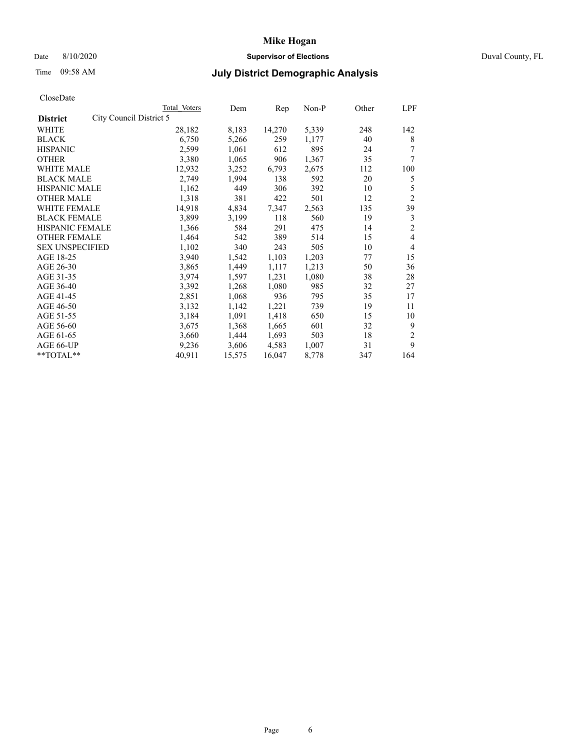# Date 8/10/2020 **Supervisor of Elections** Duval County, FL

# Time 09:58 AM **July District Demographic Analysis**

| Total Voters | Dem                     | Rep    | Non-P | Other | LPF            |
|--------------|-------------------------|--------|-------|-------|----------------|
|              |                         |        |       |       |                |
| 28,182       | 8,183                   | 14,270 | 5,339 | 248   | 142            |
| 6,750        | 5,266                   | 259    | 1,177 | 40    | 8              |
| 2,599        | 1,061                   | 612    | 895   | 24    | 7              |
| 3,380        | 1,065                   | 906    | 1,367 | 35    | 7              |
| 12,932       | 3,252                   | 6,793  | 2,675 | 112   | 100            |
| 2,749        | 1,994                   | 138    | 592   | 20    | 5              |
| 1,162        | 449                     | 306    | 392   | 10    | 5              |
| 1,318        | 381                     | 422    | 501   | 12    | $\overline{2}$ |
| 14,918       | 4,834                   | 7,347  | 2,563 | 135   | 39             |
| 3,899        | 3,199                   | 118    | 560   | 19    | 3              |
| 1,366        | 584                     | 291    | 475   | 14    | $\overline{2}$ |
| 1,464        | 542                     | 389    | 514   | 15    | 4              |
| 1,102        | 340                     | 243    | 505   | 10    | 4              |
| 3,940        | 1,542                   | 1,103  | 1,203 | 77    | 15             |
| 3,865        | 1,449                   | 1,117  | 1,213 | 50    | 36             |
| 3,974        | 1,597                   | 1,231  | 1,080 | 38    | 28             |
| 3,392        | 1,268                   | 1,080  | 985   | 32    | 27             |
| 2,851        | 1,068                   | 936    | 795   | 35    | 17             |
| 3,132        | 1,142                   | 1,221  | 739   | 19    | 11             |
| 3,184        | 1,091                   | 1,418  | 650   | 15    | 10             |
| 3,675        | 1,368                   | 1,665  | 601   | 32    | 9              |
| 3,660        | 1,444                   | 1,693  | 503   | 18    | $\overline{2}$ |
| 9,236        | 3,606                   | 4,583  | 1,007 | 31    | 9              |
| 40,911       | 15,575                  | 16,047 | 8,778 | 347   | 164            |
|              | City Council District 5 |        |       |       |                |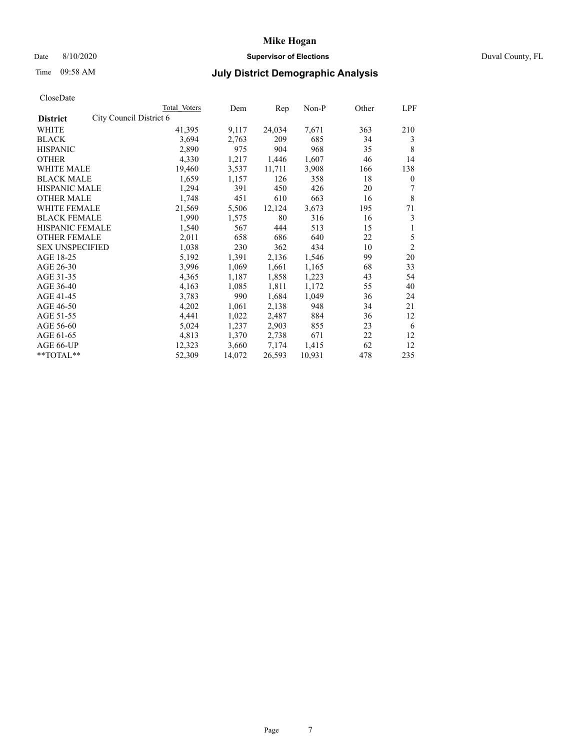# Date 8/10/2020 **Supervisor of Elections** Duval County, FL

# Time 09:58 AM **July District Demographic Analysis**

| Total Voters                                                                                                                                                                     | Dem                     | Rep    | $Non-P$ | Other | LPF            |
|----------------------------------------------------------------------------------------------------------------------------------------------------------------------------------|-------------------------|--------|---------|-------|----------------|
|                                                                                                                                                                                  |                         |        |         |       |                |
| 41,395                                                                                                                                                                           | 9,117                   | 24,034 | 7,671   | 363   | 210            |
| 3,694                                                                                                                                                                            | 2,763                   | 209    | 685     | 34    | 3              |
| 2,890                                                                                                                                                                            | 975                     | 904    | 968     | 35    | 8              |
| 4,330                                                                                                                                                                            | 1,217                   | 1,446  | 1,607   | 46    | 14             |
| 19,460                                                                                                                                                                           | 3,537                   | 11,711 | 3,908   | 166   | 138            |
| 1,659                                                                                                                                                                            | 1,157                   | 126    | 358     | 18    | $\mathbf{0}$   |
| 1,294                                                                                                                                                                            | 391                     | 450    | 426     | 20    | 7              |
| 1,748                                                                                                                                                                            | 451                     | 610    | 663     | 16    | 8              |
| 21,569                                                                                                                                                                           | 5,506                   | 12,124 | 3,673   | 195   | 71             |
| 1,990                                                                                                                                                                            | 1,575                   | 80     | 316     | 16    | 3              |
| 1,540                                                                                                                                                                            | 567                     | 444    | 513     | 15    | 1              |
| 2,011                                                                                                                                                                            | 658                     | 686    | 640     | 22    | 5              |
| 1,038                                                                                                                                                                            | 230                     | 362    | 434     | 10    | $\overline{2}$ |
| 5,192                                                                                                                                                                            | 1,391                   | 2,136  | 1,546   | 99    | 20             |
| 3,996                                                                                                                                                                            | 1,069                   | 1,661  | 1,165   | 68    | 33             |
| 4,365                                                                                                                                                                            | 1,187                   | 1,858  | 1,223   | 43    | 54             |
| 4,163                                                                                                                                                                            | 1,085                   | 1,811  | 1,172   | 55    | 40             |
| 3,783                                                                                                                                                                            | 990                     | 1,684  | 1,049   | 36    | 24             |
| 4,202                                                                                                                                                                            | 1,061                   | 2,138  | 948     | 34    | 21             |
| 4,441                                                                                                                                                                            | 1,022                   | 2,487  | 884     | 36    | 12             |
| 5,024                                                                                                                                                                            | 1,237                   | 2,903  | 855     | 23    | 6              |
| 4,813                                                                                                                                                                            | 1,370                   | 2,738  | 671     | 22    | 12             |
| 12,323                                                                                                                                                                           | 3,660                   | 7,174  | 1,415   | 62    | 12             |
| 52,309                                                                                                                                                                           | 14,072                  | 26,593 | 10,931  | 478   | 235            |
| <b>BLACK MALE</b><br><b>HISPANIC MALE</b><br><b>OTHER MALE</b><br><b>WHITE FEMALE</b><br><b>BLACK FEMALE</b><br>HISPANIC FEMALE<br><b>OTHER FEMALE</b><br><b>SEX UNSPECIFIED</b> | City Council District 6 |        |         |       |                |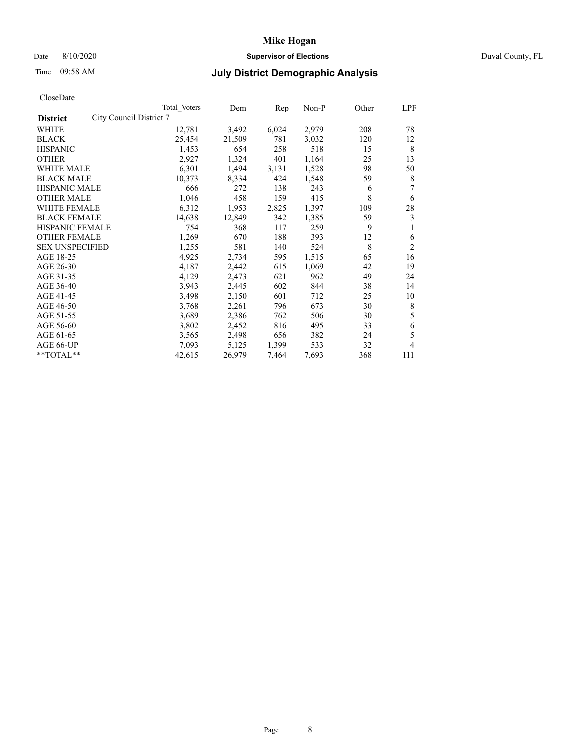# Date 8/10/2020 **Supervisor of Elections** Duval County, FL

# Time 09:58 AM **July District Demographic Analysis**

|                                            | Total Voters | Dem    | Rep   | $Non-P$ | Other | LPF            |
|--------------------------------------------|--------------|--------|-------|---------|-------|----------------|
| City Council District 7<br><b>District</b> |              |        |       |         |       |                |
| WHITE                                      | 12,781       | 3,492  | 6,024 | 2,979   | 208   | 78             |
| <b>BLACK</b>                               | 25,454       | 21,509 | 781   | 3,032   | 120   | 12             |
| <b>HISPANIC</b>                            | 1,453        | 654    | 258   | 518     | 15    | 8              |
| <b>OTHER</b>                               | 2,927        | 1,324  | 401   | 1,164   | 25    | 13             |
| <b>WHITE MALE</b>                          | 6,301        | 1,494  | 3,131 | 1,528   | 98    | 50             |
| <b>BLACK MALE</b>                          | 10,373       | 8,334  | 424   | 1,548   | 59    | 8              |
| <b>HISPANIC MALE</b>                       | 666          | 272    | 138   | 243     | 6     | 7              |
| <b>OTHER MALE</b>                          | 1,046        | 458    | 159   | 415     | 8     | 6              |
| WHITE FEMALE                               | 6,312        | 1,953  | 2,825 | 1,397   | 109   | 28             |
| <b>BLACK FEMALE</b>                        | 14,638       | 12,849 | 342   | 1,385   | 59    | 3              |
| <b>HISPANIC FEMALE</b>                     | 754          | 368    | 117   | 259     | 9     | 1              |
| <b>OTHER FEMALE</b>                        | 1,269        | 670    | 188   | 393     | 12    | 6              |
| <b>SEX UNSPECIFIED</b>                     | 1,255        | 581    | 140   | 524     | 8     | $\overline{2}$ |
| AGE 18-25                                  | 4,925        | 2,734  | 595   | 1,515   | 65    | 16             |
| AGE 26-30                                  | 4,187        | 2,442  | 615   | 1,069   | 42    | 19             |
| AGE 31-35                                  | 4,129        | 2,473  | 621   | 962     | 49    | 24             |
| AGE 36-40                                  | 3,943        | 2,445  | 602   | 844     | 38    | 14             |
| AGE 41-45                                  | 3,498        | 2,150  | 601   | 712     | 25    | 10             |
| AGE 46-50                                  | 3,768        | 2,261  | 796   | 673     | 30    | 8              |
| AGE 51-55                                  | 3,689        | 2,386  | 762   | 506     | 30    | 5              |
| AGE 56-60                                  | 3,802        | 2,452  | 816   | 495     | 33    | 6              |
| AGE 61-65                                  | 3,565        | 2,498  | 656   | 382     | 24    | 5              |
| AGE 66-UP                                  | 7,093        | 5,125  | 1,399 | 533     | 32    | 4              |
| $*$ $TOTAL**$                              | 42,615       | 26,979 | 7,464 | 7,693   | 368   | 111            |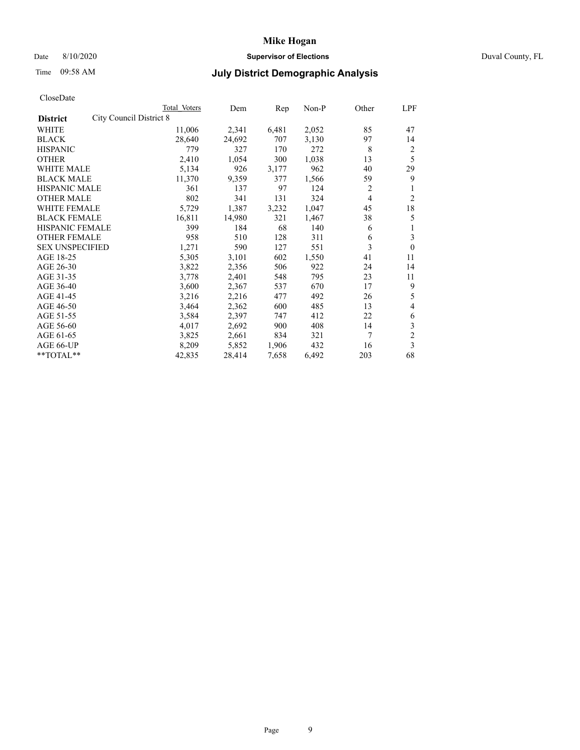Date 8/10/2020 **Supervisor of Elections** Duval County, FL

# **Mike Hogan**

# Time 09:58 AM **July District Demographic Analysis**

|                                                   | Total Voters | Dem    | Rep   | Non-P | Other | LPF            |
|---------------------------------------------------|--------------|--------|-------|-------|-------|----------------|
| <b>City Council District 8</b><br><b>District</b> |              |        |       |       |       |                |
| WHITE                                             | 11,006       | 2,341  | 6,481 | 2,052 | 85    | 47             |
| <b>BLACK</b>                                      | 28,640       | 24,692 | 707   | 3,130 | 97    | 14             |
| <b>HISPANIC</b>                                   | 779          | 327    | 170   | 272   | 8     | 2              |
| <b>OTHER</b>                                      | 2,410        | 1,054  | 300   | 1,038 | 13    | 5              |
| WHITE MALE                                        | 5,134        | 926    | 3,177 | 962   | 40    | 29             |
| <b>BLACK MALE</b>                                 | 11,370       | 9,359  | 377   | 1,566 | 59    | 9              |
| <b>HISPANIC MALE</b>                              | 361          | 137    | 97    | 124   | 2     | 1              |
| <b>OTHER MALE</b>                                 | 802          | 341    | 131   | 324   | 4     | 2              |
| WHITE FEMALE                                      | 5,729        | 1,387  | 3,232 | 1,047 | 45    | 18             |
| <b>BLACK FEMALE</b>                               | 16,811       | 14,980 | 321   | 1,467 | 38    | 5              |
| <b>HISPANIC FEMALE</b>                            | 399          | 184    | 68    | 140   | 6     | 1              |
| <b>OTHER FEMALE</b>                               | 958          | 510    | 128   | 311   | 6     | 3              |
| <b>SEX UNSPECIFIED</b>                            | 1,271        | 590    | 127   | 551   | 3     | $\theta$       |
| AGE 18-25                                         | 5,305        | 3,101  | 602   | 1,550 | 41    | 11             |
| AGE 26-30                                         | 3,822        | 2,356  | 506   | 922   | 24    | 14             |
| AGE 31-35                                         | 3,778        | 2,401  | 548   | 795   | 23    | 11             |
| AGE 36-40                                         | 3,600        | 2,367  | 537   | 670   | 17    | 9              |
| AGE 41-45                                         | 3,216        | 2,216  | 477   | 492   | 26    | 5              |
| AGE 46-50                                         | 3,464        | 2,362  | 600   | 485   | 13    | 4              |
| AGE 51-55                                         | 3,584        | 2,397  | 747   | 412   | 22    | 6              |
| AGE 56-60                                         | 4,017        | 2,692  | 900   | 408   | 14    | 3              |
| AGE 61-65                                         | 3,825        | 2,661  | 834   | 321   | 7     | $\overline{2}$ |
| AGE 66-UP                                         | 8,209        | 5,852  | 1,906 | 432   | 16    | 3              |
| $*$ TOTAL $**$                                    | 42,835       | 28,414 | 7,658 | 6,492 | 203   | 68             |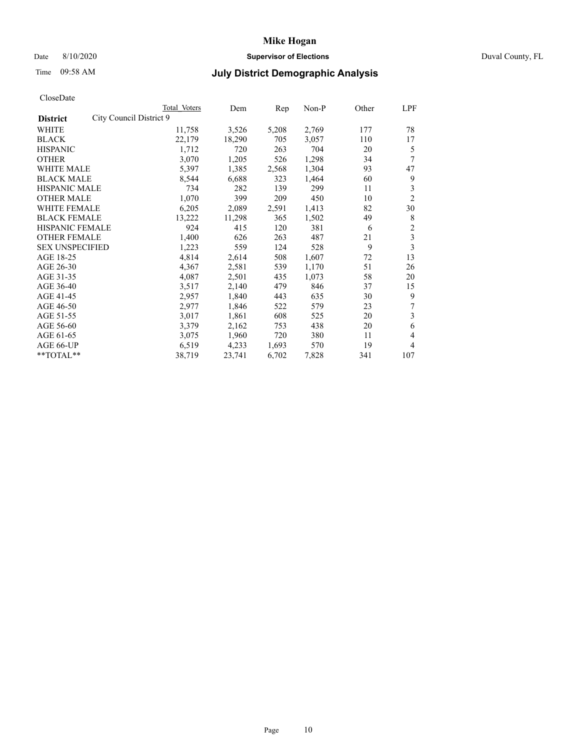## Date 8/10/2020 **Supervisor of Elections** Duval County, FL

# Time 09:58 AM **July District Demographic Analysis**

|                                            | Total Voters | Dem    | Rep   | Non-P | Other | LPF            |
|--------------------------------------------|--------------|--------|-------|-------|-------|----------------|
| City Council District 9<br><b>District</b> |              |        |       |       |       |                |
| WHITE                                      | 11,758       | 3,526  | 5,208 | 2,769 | 177   | 78             |
| <b>BLACK</b>                               | 22,179       | 18,290 | 705   | 3,057 | 110   | 17             |
| <b>HISPANIC</b>                            | 1,712        | 720    | 263   | 704   | 20    | 5              |
| <b>OTHER</b>                               | 3,070        | 1,205  | 526   | 1,298 | 34    | 7              |
| WHITE MALE                                 | 5,397        | 1,385  | 2,568 | 1,304 | 93    | 47             |
| <b>BLACK MALE</b>                          | 8,544        | 6,688  | 323   | 1,464 | 60    | 9              |
| <b>HISPANIC MALE</b>                       | 734          | 282    | 139   | 299   | 11    | 3              |
| <b>OTHER MALE</b>                          | 1,070        | 399    | 209   | 450   | 10    | $\overline{2}$ |
| WHITE FEMALE                               | 6,205        | 2,089  | 2,591 | 1,413 | 82    | 30             |
| <b>BLACK FEMALE</b>                        | 13,222       | 11,298 | 365   | 1,502 | 49    | 8              |
| <b>HISPANIC FEMALE</b>                     | 924          | 415    | 120   | 381   | 6     | $\mathfrak{2}$ |
| <b>OTHER FEMALE</b>                        | 1,400        | 626    | 263   | 487   | 21    | 3              |
| <b>SEX UNSPECIFIED</b>                     | 1,223        | 559    | 124   | 528   | 9     | 3              |
| AGE 18-25                                  | 4,814        | 2,614  | 508   | 1,607 | 72    | 13             |
| AGE 26-30                                  | 4,367        | 2,581  | 539   | 1,170 | 51    | 26             |
| AGE 31-35                                  | 4,087        | 2,501  | 435   | 1,073 | 58    | 20             |
| AGE 36-40                                  | 3,517        | 2,140  | 479   | 846   | 37    | 15             |
| AGE 41-45                                  | 2,957        | 1,840  | 443   | 635   | 30    | 9              |
| AGE 46-50                                  | 2,977        | 1,846  | 522   | 579   | 23    | 7              |
| AGE 51-55                                  | 3,017        | 1,861  | 608   | 525   | 20    | 3              |
| AGE 56-60                                  | 3,379        | 2,162  | 753   | 438   | 20    | 6              |
| AGE 61-65                                  | 3,075        | 1,960  | 720   | 380   | 11    | 4              |
| AGE 66-UP                                  | 6,519        | 4,233  | 1,693 | 570   | 19    | 4              |
| $*$ TOTAL $**$                             | 38,719       | 23,741 | 6,702 | 7,828 | 341   | 107            |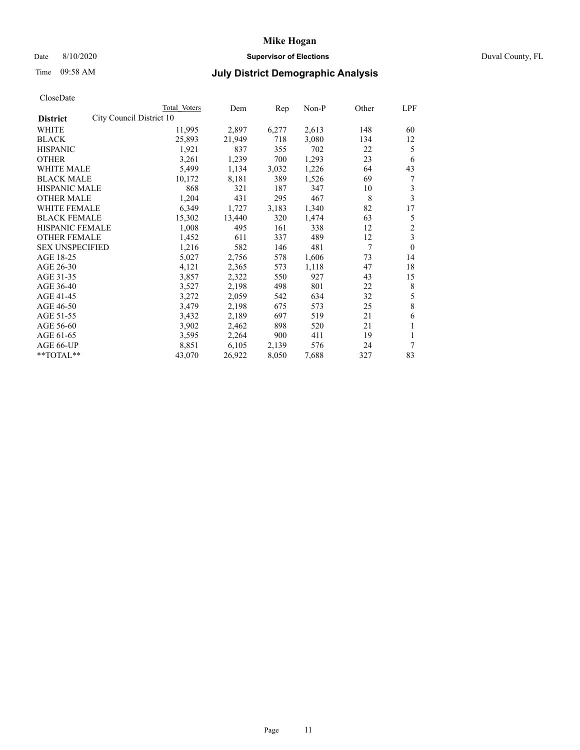## Date 8/10/2020 **Supervisor of Elections** Duval County, FL

# Time 09:58 AM **July District Demographic Analysis**

|                        |                          | Total Voters | Dem    | Rep   | Non-P | Other          | LPF            |
|------------------------|--------------------------|--------------|--------|-------|-------|----------------|----------------|
| <b>District</b>        | City Council District 10 |              |        |       |       |                |                |
| WHITE                  |                          | 11,995       | 2,897  | 6,277 | 2,613 | 148            | 60             |
| <b>BLACK</b>           |                          | 25,893       | 21,949 | 718   | 3,080 | 134            | 12             |
| <b>HISPANIC</b>        |                          | 1,921        | 837    | 355   | 702   | 22             | 5              |
| <b>OTHER</b>           |                          | 3,261        | 1,239  | 700   | 1,293 | 23             | 6              |
| WHITE MALE             |                          | 5,499        | 1,134  | 3,032 | 1,226 | 64             | 43             |
| <b>BLACK MALE</b>      |                          | 10,172       | 8,181  | 389   | 1,526 | 69             | 7              |
| <b>HISPANIC MALE</b>   |                          | 868          | 321    | 187   | 347   | 10             | 3              |
| <b>OTHER MALE</b>      |                          | 1,204        | 431    | 295   | 467   | 8              | 3              |
| WHITE FEMALE           |                          | 6,349        | 1,727  | 3,183 | 1,340 | 82             | 17             |
| <b>BLACK FEMALE</b>    |                          | 15,302       | 13,440 | 320   | 1,474 | 63             | 5              |
| HISPANIC FEMALE        |                          | 1,008        | 495    | 161   | 338   | 12             | $\overline{c}$ |
| <b>OTHER FEMALE</b>    |                          | 1,452        | 611    | 337   | 489   | 12             | 3              |
| <b>SEX UNSPECIFIED</b> |                          | 1,216        | 582    | 146   | 481   | $\overline{7}$ | $\theta$       |
| AGE 18-25              |                          | 5,027        | 2,756  | 578   | 1,606 | 73             | 14             |
| AGE 26-30              |                          | 4,121        | 2,365  | 573   | 1,118 | 47             | 18             |
| AGE 31-35              |                          | 3,857        | 2,322  | 550   | 927   | 43             | 15             |
| AGE 36-40              |                          | 3,527        | 2,198  | 498   | 801   | 22             | 8              |
| AGE 41-45              |                          | 3,272        | 2,059  | 542   | 634   | 32             | $\mathfrak s$  |
| AGE 46-50              |                          | 3,479        | 2,198  | 675   | 573   | 25             | 8              |
| AGE 51-55              |                          | 3,432        | 2,189  | 697   | 519   | 21             | 6              |
| AGE 56-60              |                          | 3,902        | 2,462  | 898   | 520   | 21             | 1              |
| AGE 61-65              |                          | 3,595        | 2,264  | 900   | 411   | 19             | 1              |
| AGE 66-UP              |                          | 8,851        | 6,105  | 2,139 | 576   | 24             | 7              |
| **TOTAL**              |                          | 43,070       | 26,922 | 8,050 | 7,688 | 327            | 83             |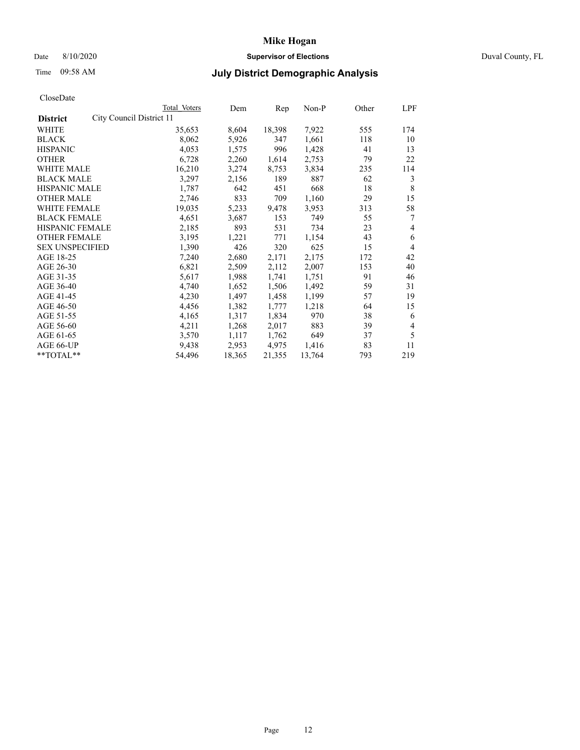# Date 8/10/2020 **Supervisor of Elections** Duval County, FL

# Time 09:58 AM **July District Demographic Analysis**

|                                             | Total Voters | Dem    | Rep    | $Non-P$ | Other | <b>LPF</b>     |
|---------------------------------------------|--------------|--------|--------|---------|-------|----------------|
| City Council District 11<br><b>District</b> |              |        |        |         |       |                |
| WHITE                                       | 35,653       | 8,604  | 18,398 | 7,922   | 555   | 174            |
| <b>BLACK</b>                                | 8,062        | 5,926  | 347    | 1,661   | 118   | 10             |
| <b>HISPANIC</b>                             | 4,053        | 1,575  | 996    | 1,428   | 41    | 13             |
| <b>OTHER</b>                                | 6,728        | 2,260  | 1,614  | 2,753   | 79    | 22             |
| WHITE MALE                                  | 16,210       | 3,274  | 8,753  | 3,834   | 235   | 114            |
| <b>BLACK MALE</b>                           | 3,297        | 2,156  | 189    | 887     | 62    | 3              |
| <b>HISPANIC MALE</b>                        | 1,787        | 642    | 451    | 668     | 18    | 8              |
| <b>OTHER MALE</b>                           | 2,746        | 833    | 709    | 1,160   | 29    | 15             |
| WHITE FEMALE                                | 19,035       | 5,233  | 9,478  | 3,953   | 313   | 58             |
| <b>BLACK FEMALE</b>                         | 4,651        | 3,687  | 153    | 749     | 55    | 7              |
| HISPANIC FEMALE                             | 2,185        | 893    | 531    | 734     | 23    | 4              |
| <b>OTHER FEMALE</b>                         | 3,195        | 1,221  | 771    | 1,154   | 43    | 6              |
| <b>SEX UNSPECIFIED</b>                      | 1,390        | 426    | 320    | 625     | 15    | $\overline{4}$ |
| AGE 18-25                                   | 7,240        | 2,680  | 2,171  | 2,175   | 172   | 42             |
| AGE 26-30                                   | 6,821        | 2,509  | 2,112  | 2,007   | 153   | 40             |
| AGE 31-35                                   | 5,617        | 1,988  | 1,741  | 1,751   | 91    | 46             |
| AGE 36-40                                   | 4,740        | 1,652  | 1,506  | 1,492   | 59    | 31             |
| AGE 41-45                                   | 4,230        | 1,497  | 1,458  | 1,199   | 57    | 19             |
| AGE 46-50                                   | 4,456        | 1,382  | 1,777  | 1,218   | 64    | 15             |
| AGE 51-55                                   | 4,165        | 1,317  | 1,834  | 970     | 38    | 6              |
| AGE 56-60                                   | 4,211        | 1,268  | 2,017  | 883     | 39    | $\overline{4}$ |
| AGE 61-65                                   | 3,570        | 1,117  | 1,762  | 649     | 37    | 5              |
| AGE 66-UP                                   | 9,438        | 2,953  | 4,975  | 1,416   | 83    | 11             |
| **TOTAL**                                   | 54,496       | 18,365 | 21,355 | 13,764  | 793   | 219            |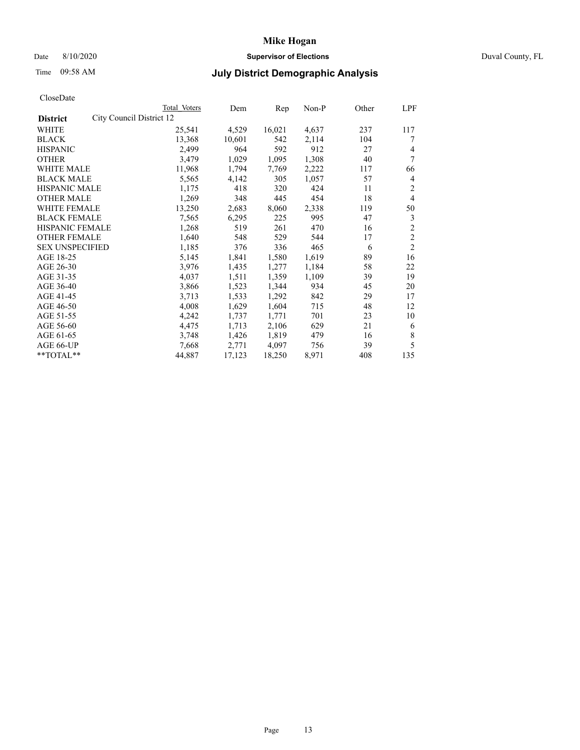# Date 8/10/2020 **Supervisor of Elections** Duval County, FL

# Time 09:58 AM **July District Demographic Analysis**

|                                             | Total Voters | Dem    | Rep    | Non-P | Other | LPF            |
|---------------------------------------------|--------------|--------|--------|-------|-------|----------------|
| City Council District 12<br><b>District</b> |              |        |        |       |       |                |
| WHITE                                       | 25,541       | 4,529  | 16,021 | 4,637 | 237   | 117            |
| <b>BLACK</b>                                | 13,368       | 10,601 | 542    | 2,114 | 104   | 7              |
| <b>HISPANIC</b>                             | 2,499        | 964    | 592    | 912   | 27    | 4              |
| <b>OTHER</b>                                | 3,479        | 1,029  | 1,095  | 1,308 | 40    | 7              |
| WHITE MALE                                  | 11,968       | 1,794  | 7,769  | 2,222 | 117   | 66             |
| <b>BLACK MALE</b>                           | 5,565        | 4,142  | 305    | 1,057 | 57    | 4              |
| <b>HISPANIC MALE</b>                        | 1,175        | 418    | 320    | 424   | 11    | 2              |
| <b>OTHER MALE</b>                           | 1,269        | 348    | 445    | 454   | 18    | 4              |
| WHITE FEMALE                                | 13,250       | 2,683  | 8,060  | 2,338 | 119   | 50             |
| <b>BLACK FEMALE</b>                         | 7,565        | 6,295  | 225    | 995   | 47    | 3              |
| HISPANIC FEMALE                             | 1,268        | 519    | 261    | 470   | 16    | $\mathfrak{2}$ |
| <b>OTHER FEMALE</b>                         | 1,640        | 548    | 529    | 544   | 17    | $\mathfrak{2}$ |
| <b>SEX UNSPECIFIED</b>                      | 1,185        | 376    | 336    | 465   | 6     | $\overline{2}$ |
| AGE 18-25                                   | 5,145        | 1,841  | 1,580  | 1,619 | 89    | 16             |
| AGE 26-30                                   | 3,976        | 1,435  | 1,277  | 1,184 | 58    | 22             |
| AGE 31-35                                   | 4,037        | 1,511  | 1,359  | 1,109 | 39    | 19             |
| AGE 36-40                                   | 3,866        | 1,523  | 1,344  | 934   | 45    | 20             |
| AGE 41-45                                   | 3,713        | 1,533  | 1,292  | 842   | 29    | 17             |
| AGE 46-50                                   | 4,008        | 1,629  | 1,604  | 715   | 48    | 12             |
| AGE 51-55                                   | 4,242        | 1,737  | 1,771  | 701   | 23    | 10             |
| AGE 56-60                                   | 4,475        | 1,713  | 2,106  | 629   | 21    | 6              |
| AGE 61-65                                   | 3,748        | 1,426  | 1,819  | 479   | 16    | 8              |
| AGE 66-UP                                   | 7,668        | 2,771  | 4,097  | 756   | 39    | 5              |
| **TOTAL**                                   | 44,887       | 17,123 | 18,250 | 8,971 | 408   | 135            |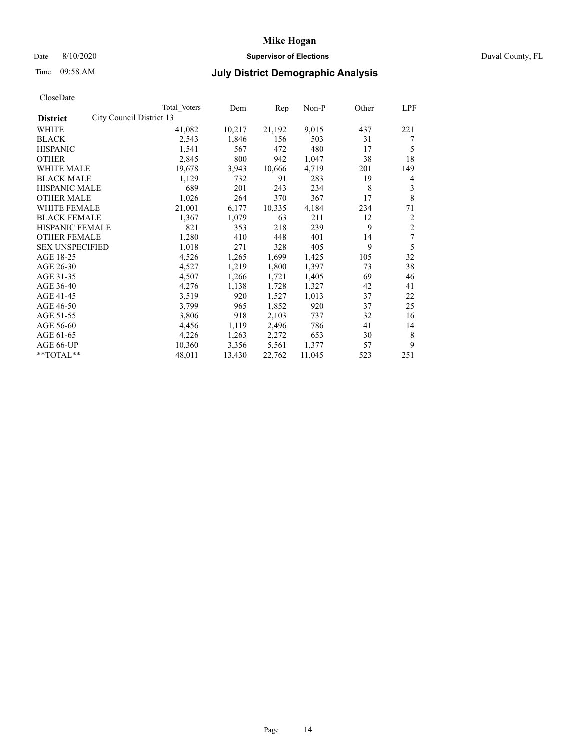# Date 8/10/2020 **Supervisor of Elections** Duval County, FL

# Time 09:58 AM **July District Demographic Analysis**

|                        |                          | <b>Total Voters</b> | Dem    | Rep    | $Non-P$ | Other | <b>LPF</b>     |
|------------------------|--------------------------|---------------------|--------|--------|---------|-------|----------------|
| <b>District</b>        | City Council District 13 |                     |        |        |         |       |                |
| WHITE                  |                          | 41,082              | 10,217 | 21,192 | 9,015   | 437   | 221            |
| <b>BLACK</b>           |                          | 2,543               | 1,846  | 156    | 503     | 31    | 7              |
| <b>HISPANIC</b>        |                          | 1,541               | 567    | 472    | 480     | 17    | 5              |
| <b>OTHER</b>           |                          | 2,845               | 800    | 942    | 1,047   | 38    | 18             |
| WHITE MALE             |                          | 19,678              | 3,943  | 10,666 | 4,719   | 201   | 149            |
| <b>BLACK MALE</b>      |                          | 1,129               | 732    | 91     | 283     | 19    | 4              |
| <b>HISPANIC MALE</b>   |                          | 689                 | 201    | 243    | 234     | 8     | 3              |
| <b>OTHER MALE</b>      |                          | 1,026               | 264    | 370    | 367     | 17    | 8              |
| WHITE FEMALE           |                          | 21,001              | 6,177  | 10,335 | 4,184   | 234   | 71             |
| <b>BLACK FEMALE</b>    |                          | 1,367               | 1,079  | 63     | 211     | 12    | $\overline{2}$ |
| HISPANIC FEMALE        |                          | 821                 | 353    | 218    | 239     | 9     | $\overline{c}$ |
| <b>OTHER FEMALE</b>    |                          | 1,280               | 410    | 448    | 401     | 14    | 7              |
| <b>SEX UNSPECIFIED</b> |                          | 1,018               | 271    | 328    | 405     | 9     | 5              |
| AGE 18-25              |                          | 4,526               | 1,265  | 1,699  | 1,425   | 105   | 32             |
| AGE 26-30              |                          | 4,527               | 1,219  | 1,800  | 1,397   | 73    | 38             |
| AGE 31-35              |                          | 4,507               | 1,266  | 1,721  | 1,405   | 69    | 46             |
| AGE 36-40              |                          | 4,276               | 1,138  | 1,728  | 1,327   | 42    | 41             |
| AGE 41-45              |                          | 3,519               | 920    | 1,527  | 1,013   | 37    | 22             |
| AGE 46-50              |                          | 3,799               | 965    | 1,852  | 920     | 37    | 25             |
| AGE 51-55              |                          | 3,806               | 918    | 2,103  | 737     | 32    | 16             |
| AGE 56-60              |                          | 4,456               | 1,119  | 2,496  | 786     | 41    | 14             |
| AGE 61-65              |                          | 4,226               | 1,263  | 2,272  | 653     | 30    | 8              |
| AGE 66-UP              |                          | 10,360              | 3,356  | 5,561  | 1,377   | 57    | 9              |
| **TOTAL**              |                          | 48,011              | 13,430 | 22,762 | 11,045  | 523   | 251            |
|                        |                          |                     |        |        |         |       |                |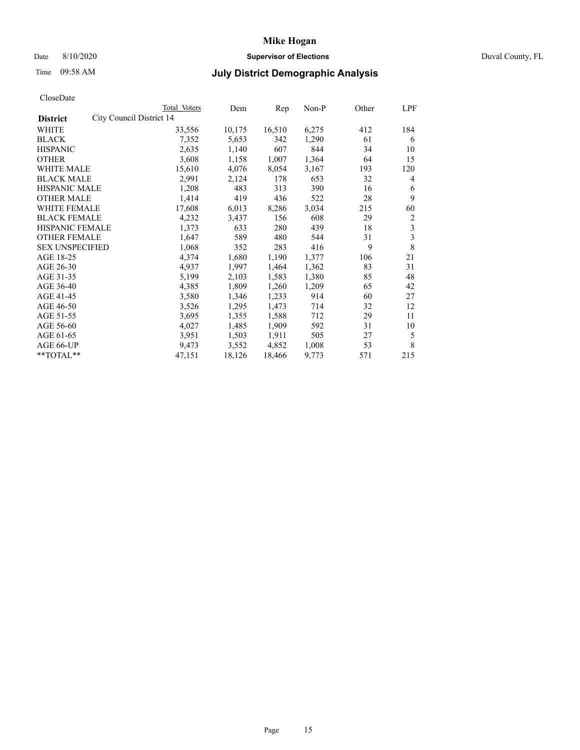# Date 8/10/2020 **Supervisor of Elections** Duval County, FL

# Time 09:58 AM **July District Demographic Analysis**

|                                             | Total Voters | Dem    | Rep    | Non-P | Other | LPF            |
|---------------------------------------------|--------------|--------|--------|-------|-------|----------------|
| City Council District 14<br><b>District</b> |              |        |        |       |       |                |
| WHITE                                       | 33,556       | 10,175 | 16,510 | 6,275 | 412   | 184            |
| <b>BLACK</b>                                | 7,352        | 5,653  | 342    | 1,290 | 61    | 6              |
| <b>HISPANIC</b>                             | 2,635        | 1,140  | 607    | 844   | 34    | 10             |
| <b>OTHER</b>                                | 3,608        | 1,158  | 1,007  | 1,364 | 64    | 15             |
| WHITE MALE                                  | 15,610       | 4,076  | 8,054  | 3,167 | 193   | 120            |
| <b>BLACK MALE</b>                           | 2,991        | 2,124  | 178    | 653   | 32    | 4              |
| <b>HISPANIC MALE</b>                        | 1,208        | 483    | 313    | 390   | 16    | 6              |
| <b>OTHER MALE</b>                           | 1,414        | 419    | 436    | 522   | 28    | 9              |
| WHITE FEMALE                                | 17,608       | 6,013  | 8,286  | 3,034 | 215   | 60             |
| <b>BLACK FEMALE</b>                         | 4,232        | 3,437  | 156    | 608   | 29    | $\overline{c}$ |
| HISPANIC FEMALE                             | 1,373        | 633    | 280    | 439   | 18    | 3              |
| <b>OTHER FEMALE</b>                         | 1,647        | 589    | 480    | 544   | 31    | 3              |
| <b>SEX UNSPECIFIED</b>                      | 1,068        | 352    | 283    | 416   | 9     | 8              |
| AGE 18-25                                   | 4,374        | 1,680  | 1,190  | 1,377 | 106   | 21             |
| AGE 26-30                                   | 4,937        | 1,997  | 1,464  | 1,362 | 83    | 31             |
| AGE 31-35                                   | 5,199        | 2,103  | 1,583  | 1,380 | 85    | 48             |
| AGE 36-40                                   | 4,385        | 1,809  | 1,260  | 1,209 | 65    | 42             |
| AGE 41-45                                   | 3,580        | 1,346  | 1,233  | 914   | 60    | 27             |
| AGE 46-50                                   | 3,526        | 1,295  | 1,473  | 714   | 32    | 12             |
| AGE 51-55                                   | 3,695        | 1,355  | 1,588  | 712   | 29    | 11             |
| AGE 56-60                                   | 4,027        | 1,485  | 1,909  | 592   | 31    | 10             |
| AGE 61-65                                   | 3,951        | 1,503  | 1,911  | 505   | 27    | 5              |
| AGE 66-UP                                   | 9,473        | 3,552  | 4,852  | 1,008 | 53    | 8              |
| **TOTAL**                                   | 47,151       | 18,126 | 18,466 | 9,773 | 571   | 215            |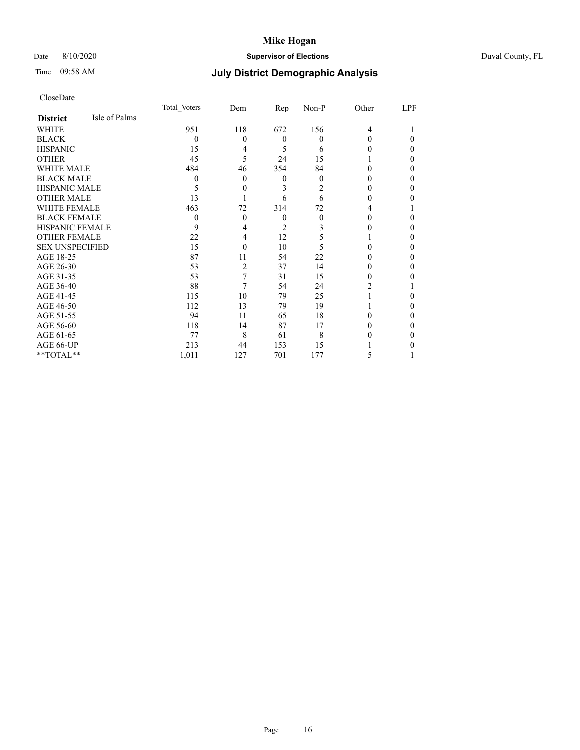# Date 8/10/2020 **Supervisor of Elections** Duval County, FL

# Time 09:58 AM **July District Demographic Analysis**

|                        |               | Total Voters | Dem      | Rep              | Non-P    | Other | LPF      |
|------------------------|---------------|--------------|----------|------------------|----------|-------|----------|
| <b>District</b>        | Isle of Palms |              |          |                  |          |       |          |
| WHITE                  |               | 951          | 118      | 672              | 156      | 4     |          |
| <b>BLACK</b>           |               | $\Omega$     | $\theta$ | $\boldsymbol{0}$ | $\theta$ | 0     | $\theta$ |
| <b>HISPANIC</b>        |               | 15           | 4        | 5                | 6        | 0     | $\theta$ |
| <b>OTHER</b>           |               | 45           | 5        | 24               | 15       |       | $\Omega$ |
| WHITE MALE             |               | 484          | 46       | 354              | 84       | 0     | $\Omega$ |
| <b>BLACK MALE</b>      |               | $\theta$     | 0        | $\boldsymbol{0}$ | $\theta$ |       | $\Omega$ |
| <b>HISPANIC MALE</b>   |               | 5            | $\theta$ | 3                | 2        | 0     | $\Omega$ |
| <b>OTHER MALE</b>      |               | 13           |          | 6                | 6        | 0     | $\Omega$ |
| <b>WHITE FEMALE</b>    |               | 463          | 72       | 314              | 72       | 4     |          |
| <b>BLACK FEMALE</b>    |               | $\Omega$     | $\theta$ | $\theta$         | $\Omega$ | 0     | 0        |
| <b>HISPANIC FEMALE</b> |               | 9            | 4        | $\overline{c}$   | 3        |       | $\theta$ |
| <b>OTHER FEMALE</b>    |               | 22           | 4        | 12               | 5        |       | $\theta$ |
| <b>SEX UNSPECIFIED</b> |               | 15           | 0        | 10               | 5        | 0     | $\Omega$ |
| AGE 18-25              |               | 87           | 11       | 54               | 22       | 0     | $\Omega$ |
| AGE 26-30              |               | 53           | 2        | 37               | 14       | 0     | $\Omega$ |
| AGE 31-35              |               | 53           | 7        | 31               | 15       | 0     | 0        |
| AGE 36-40              |               | 88           | 7        | 54               | 24       | 2     |          |
| AGE 41-45              |               | 115          | 10       | 79               | 25       |       | 0        |
| AGE 46-50              |               | 112          | 13       | 79               | 19       |       | $\theta$ |
| AGE 51-55              |               | 94           | 11       | 65               | 18       | 0     | $\Omega$ |
| AGE 56-60              |               | 118          | 14       | 87               | 17       | 0     | $\Omega$ |
| AGE 61-65              |               | 77           | 8        | 61               | 8        |       | $\Omega$ |
| AGE 66-UP              |               | 213          | 44       | 153              | 15       |       | 0        |
| **TOTAL**              |               | 1,011        | 127      | 701              | 177      | 5     |          |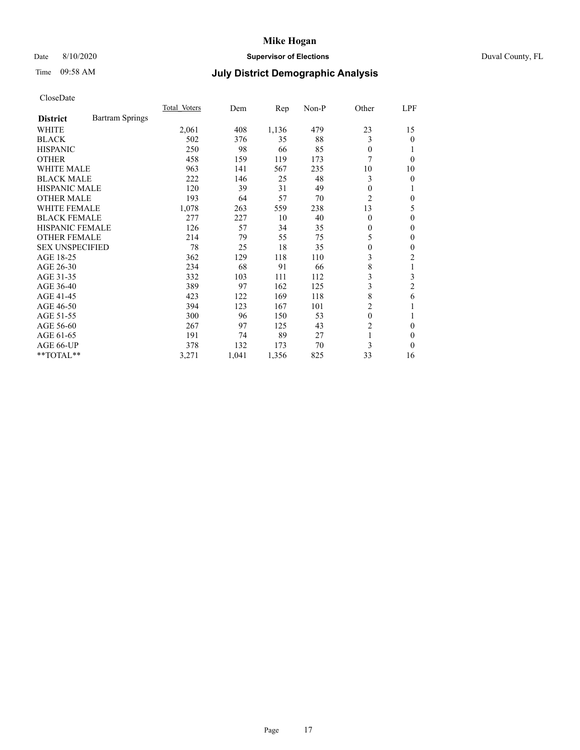# Date 8/10/2020 **Supervisor of Elections** Duval County, FL

# Time 09:58 AM **July District Demographic Analysis**

|                        |                        | Total Voters | Dem   | Rep   | Non-P | Other          | LPF            |
|------------------------|------------------------|--------------|-------|-------|-------|----------------|----------------|
| <b>District</b>        | <b>Bartram Springs</b> |              |       |       |       |                |                |
| WHITE                  |                        | 2,061        | 408   | 1,136 | 479   | 23             | 15             |
| <b>BLACK</b>           |                        | 502          | 376   | 35    | 88    | 3              | 0              |
| <b>HISPANIC</b>        |                        | 250          | 98    | 66    | 85    | $\Omega$       |                |
| <b>OTHER</b>           |                        | 458          | 159   | 119   | 173   | 7              | 0              |
| WHITE MALE             |                        | 963          | 141   | 567   | 235   | 10             | 10             |
| <b>BLACK MALE</b>      |                        | 222          | 146   | 25    | 48    | 3              | 0              |
| <b>HISPANIC MALE</b>   |                        | 120          | 39    | 31    | 49    | 0              |                |
| <b>OTHER MALE</b>      |                        | 193          | 64    | 57    | 70    | 2              | 0              |
| WHITE FEMALE           |                        | 1,078        | 263   | 559   | 238   | 13             | 5              |
| <b>BLACK FEMALE</b>    |                        | 277          | 227   | 10    | 40    | $\Omega$       | 0              |
| <b>HISPANIC FEMALE</b> |                        | 126          | 57    | 34    | 35    | 0              | 0              |
| <b>OTHER FEMALE</b>    |                        | 214          | 79    | 55    | 75    | 5              | 0              |
| <b>SEX UNSPECIFIED</b> |                        | 78           | 25    | 18    | 35    | $\overline{0}$ | 0              |
| AGE 18-25              |                        | 362          | 129   | 118   | 110   | 3              | $\overline{c}$ |
| AGE 26-30              |                        | 234          | 68    | 91    | 66    | 8              | 1              |
| AGE 31-35              |                        | 332          | 103   | 111   | 112   | 3              | 3              |
| AGE 36-40              |                        | 389          | 97    | 162   | 125   | 3              | 2              |
| AGE 41-45              |                        | 423          | 122   | 169   | 118   | 8              | 6              |
| AGE 46-50              |                        | 394          | 123   | 167   | 101   | 2              |                |
| AGE 51-55              |                        | 300          | 96    | 150   | 53    | $\theta$       |                |
| AGE 56-60              |                        | 267          | 97    | 125   | 43    | $\overline{c}$ | 0              |
| AGE 61-65              |                        | 191          | 74    | 89    | 27    | 1              | 0              |
| AGE 66-UP              |                        | 378          | 132   | 173   | 70    | 3              | 0              |
| $*$ TOTAL $**$         |                        | 3,271        | 1,041 | 1,356 | 825   | 33             | 16             |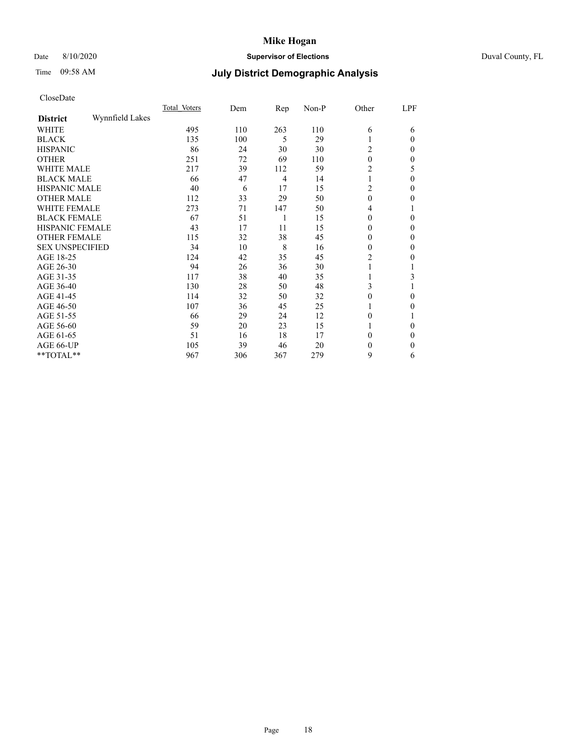# Date 8/10/2020 **Supervisor of Elections** Duval County, FL

# Time 09:58 AM **July District Demographic Analysis**

|                        |                 | Total Voters | Dem | Rep            | Non-P | Other          | LPF      |
|------------------------|-----------------|--------------|-----|----------------|-------|----------------|----------|
| <b>District</b>        | Wynnfield Lakes |              |     |                |       |                |          |
| WHITE                  |                 | 495          | 110 | 263            | 110   | 6              | 6        |
| <b>BLACK</b>           |                 | 135          | 100 | 5              | 29    |                | $\Omega$ |
| <b>HISPANIC</b>        |                 | 86           | 24  | 30             | 30    | 2              | $\Omega$ |
| <b>OTHER</b>           |                 | 251          | 72  | 69             | 110   | $\theta$       | 0        |
| WHITE MALE             |                 | 217          | 39  | 112            | 59    | 2              | 5        |
| <b>BLACK MALE</b>      |                 | 66           | 47  | $\overline{4}$ | 14    |                | $\theta$ |
| <b>HISPANIC MALE</b>   |                 | 40           | 6   | 17             | 15    | 2              | $\theta$ |
| <b>OTHER MALE</b>      |                 | 112          | 33  | 29             | 50    | $\overline{0}$ | 0        |
| WHITE FEMALE           |                 | 273          | 71  | 147            | 50    | 4              |          |
| <b>BLACK FEMALE</b>    |                 | 67           | 51  | 1              | 15    | $\theta$       | $\Omega$ |
| <b>HISPANIC FEMALE</b> |                 | 43           | 17  | 11             | 15    | 0              | $\Omega$ |
| <b>OTHER FEMALE</b>    |                 | 115          | 32  | 38             | 45    | $\theta$       | $\Omega$ |
| <b>SEX UNSPECIFIED</b> |                 | 34           | 10  | 8              | 16    | $\theta$       | $\Omega$ |
| AGE 18-25              |                 | 124          | 42  | 35             | 45    | 2              | 0        |
| AGE 26-30              |                 | 94           | 26  | 36             | 30    |                |          |
| AGE 31-35              |                 | 117          | 38  | 40             | 35    |                | 3        |
| AGE 36-40              |                 | 130          | 28  | 50             | 48    | 3              |          |
| AGE 41-45              |                 | 114          | 32  | 50             | 32    | 0              | $\Omega$ |
| AGE 46-50              |                 | 107          | 36  | 45             | 25    |                | $\Omega$ |
| AGE 51-55              |                 | 66           | 29  | 24             | 12    | $\theta$       |          |
| AGE 56-60              |                 | 59           | 20  | 23             | 15    |                | 0        |
| AGE 61-65              |                 | 51           | 16  | 18             | 17    | $\theta$       | $\theta$ |
| AGE 66-UP              |                 | 105          | 39  | 46             | 20    | $\mathbf{0}$   | $\Omega$ |
| **TOTAL**              |                 | 967          | 306 | 367            | 279   | 9              | 6        |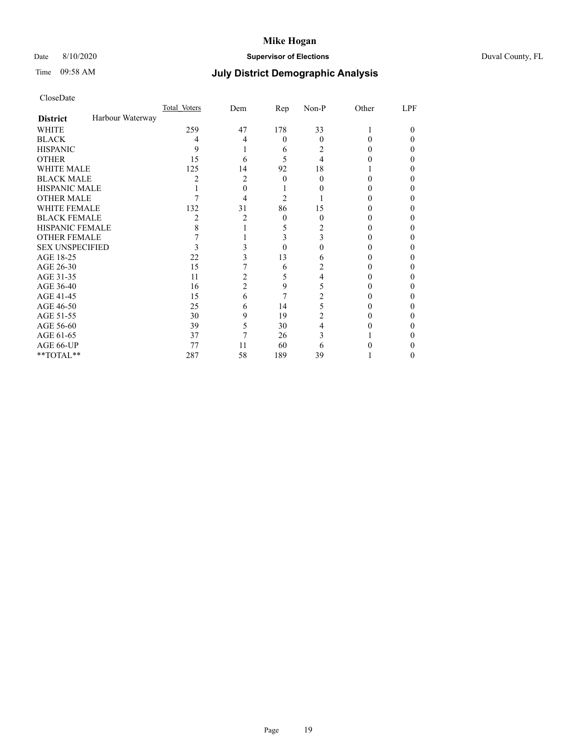# Date 8/10/2020 **Supervisor of Elections** Duval County, FL

# Time 09:58 AM **July District Demographic Analysis**

|                        |                  | Total Voters | Dem            | Rep      | Non-P    | Other  | LPF |
|------------------------|------------------|--------------|----------------|----------|----------|--------|-----|
| <b>District</b>        | Harbour Waterway |              |                |          |          |        |     |
| <b>WHITE</b>           |                  | 259          | 47             | 178      | 33       |        | 0   |
| <b>BLACK</b>           |                  | 4            | 4              | $\theta$ | $\Omega$ | 0      | 0   |
| <b>HISPANIC</b>        |                  | 9            |                | 6        | 2        | 0      | 0   |
| <b>OTHER</b>           |                  | 15           | 6              | 5        | 4        |        | 0   |
| WHITE MALE             |                  | 125          | 14             | 92       | 18       |        |     |
| <b>BLACK MALE</b>      |                  | 2            | 2              | $\Omega$ | 0        | 0      | 0   |
| <b>HISPANIC MALE</b>   |                  |              | 0              |          |          |        | 0   |
| <b>OTHER MALE</b>      |                  |              | 4              | 2        |          |        | 0   |
| <b>WHITE FEMALE</b>    |                  | 132          | 31             | 86       | 15       |        | 0   |
| <b>BLACK FEMALE</b>    |                  | 2            | 2              | $\theta$ | $\Omega$ | $_{0}$ | 0   |
| <b>HISPANIC FEMALE</b> |                  | 8            |                | 5        | 2        |        | 0   |
| <b>OTHER FEMALE</b>    |                  |              |                | 3        | 3        |        | 0   |
| <b>SEX UNSPECIFIED</b> |                  | 3            | 3              | 0        |          |        | 0   |
| AGE 18-25              |                  | 22           | 3              | 13       | 6        |        | 0   |
| AGE 26-30              |                  | 15           |                | 6        | 2        |        | 0   |
| AGE 31-35              |                  | 11           | $\overline{2}$ | 5        | 4        |        | 0   |
| AGE 36-40              |                  | 16           | 2              | 9        | 5        | $_{0}$ | 0   |
| AGE 41-45              |                  | 15           | 6              |          |          |        | 0   |
| AGE 46-50              |                  | 25           | 6              | 14       | 5        | 0      | 0   |
| AGE 51-55              |                  | 30           | 9              | 19       | 2        |        | 0   |
| AGE 56-60              |                  | 39           | 5              | 30       |          |        | 0   |
| AGE 61-65              |                  | 37           | 7              | 26       | 3        |        | 0   |
| AGE 66-UP              |                  | 77           | 11             | 60       | 6        |        | 0   |
| **TOTAL**              |                  | 287          | 58             | 189      | 39       |        | 0   |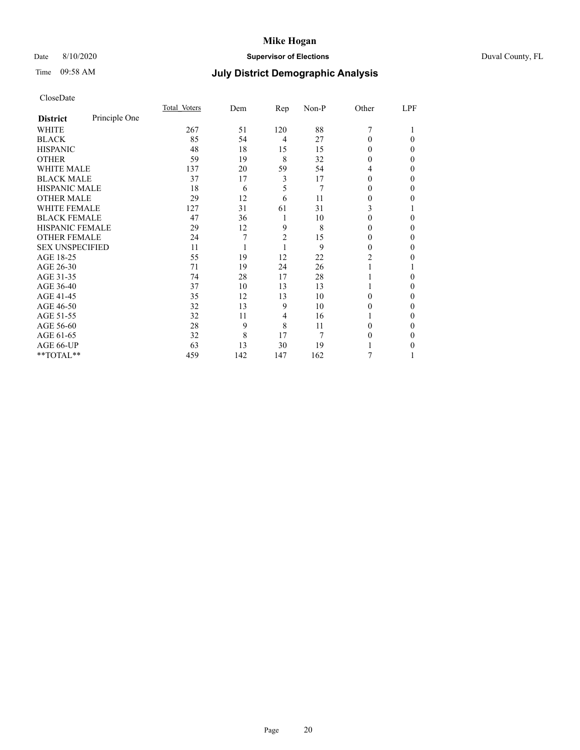# Date 8/10/2020 **Supervisor of Elections** Duval County, FL

# Time 09:58 AM **July District Demographic Analysis**

|                        |               | Total Voters | Dem | Rep            | Non-P | Other          | LPF |
|------------------------|---------------|--------------|-----|----------------|-------|----------------|-----|
| <b>District</b>        | Principle One |              |     |                |       |                |     |
| WHITE                  |               | 267          | 51  | 120            | 88    | 7              |     |
| <b>BLACK</b>           |               | 85           | 54  | 4              | 27    | 0              | 0   |
| <b>HISPANIC</b>        |               | 48           | 18  | 15             | 15    | 0              | 0   |
| <b>OTHER</b>           |               | 59           | 19  | 8              | 32    | 0              | 0   |
| WHITE MALE             |               | 137          | 20  | 59             | 54    | 4              | 0   |
| <b>BLACK MALE</b>      |               | 37           | 17  | 3              | 17    | 0              | 0   |
| <b>HISPANIC MALE</b>   |               | 18           | 6   | 5              | 7     | $_{0}$         | 0   |
| <b>OTHER MALE</b>      |               | 29           | 12  | 6              | 11    | $_{0}$         | 0   |
| <b>WHITE FEMALE</b>    |               | 127          | 31  | 61             | 31    | 3              |     |
| <b>BLACK FEMALE</b>    |               | 47           | 36  | 1              | 10    | 0              | 0   |
| HISPANIC FEMALE        |               | 29           | 12  | 9              | 8     | 0              | 0   |
| <b>OTHER FEMALE</b>    |               | 24           | 7   | $\overline{2}$ | 15    | 0              | 0   |
| <b>SEX UNSPECIFIED</b> |               | 11           |     | 1              | 9     | 0              | 0   |
| AGE 18-25              |               | 55           | 19  | 12             | 22    | $\overline{c}$ | 0   |
| AGE 26-30              |               | 71           | 19  | 24             | 26    |                |     |
| AGE 31-35              |               | 74           | 28  | 17             | 28    |                | 0   |
| AGE 36-40              |               | 37           | 10  | 13             | 13    |                | 0   |
| AGE 41-45              |               | 35           | 12  | 13             | 10    | 0              | 0   |
| AGE 46-50              |               | 32           | 13  | 9              | 10    | 0              | 0   |
| AGE 51-55              |               | 32           | 11  | 4              | 16    |                | 0   |
| AGE 56-60              |               | 28           | 9   | 8              | 11    | 0              | 0   |
| AGE 61-65              |               | 32           | 8   | 17             | 7     | 0              | 0   |
| AGE 66-UP              |               | 63           | 13  | 30             | 19    |                | 0   |
| **TOTAL**              |               | 459          | 142 | 147            | 162   | 7              |     |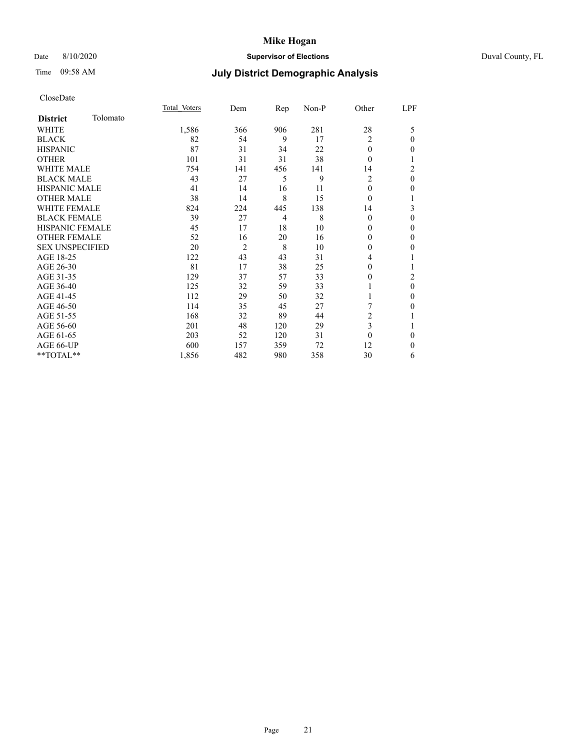## Date 8/10/2020 **Supervisor of Elections** Duval County, FL

# Time 09:58 AM **July District Demographic Analysis**

|                        |          | Total Voters | Dem            | Rep            | Non-P | Other          | LPF      |
|------------------------|----------|--------------|----------------|----------------|-------|----------------|----------|
| <b>District</b>        | Tolomato |              |                |                |       |                |          |
| WHITE                  |          | 1,586        | 366            | 906            | 281   | 28             | 5        |
| <b>BLACK</b>           |          | 82           | 54             | 9              | 17    | 2              | $\theta$ |
| <b>HISPANIC</b>        |          | 87           | 31             | 34             | 22    | $\theta$       | $\Omega$ |
| <b>OTHER</b>           |          | 101          | 31             | 31             | 38    | $\theta$       | 1        |
| <b>WHITE MALE</b>      |          | 754          | 141            | 456            | 141   | 14             | 2        |
| <b>BLACK MALE</b>      |          | 43           | 27             | 5              | 9     | 2              | $\theta$ |
| <b>HISPANIC MALE</b>   |          | 41           | 14             | 16             | 11    | 0              | 0        |
| <b>OTHER MALE</b>      |          | 38           | 14             | 8              | 15    | $\theta$       |          |
| <b>WHITE FEMALE</b>    |          | 824          | 224            | 445            | 138   | 14             | 3        |
| <b>BLACK FEMALE</b>    |          | 39           | 27             | $\overline{4}$ | 8     | $\theta$       | $\theta$ |
| <b>HISPANIC FEMALE</b> |          | 45           | 17             | 18             | 10    | $\theta$       | $\theta$ |
| <b>OTHER FEMALE</b>    |          | 52           | 16             | 20             | 16    | $\theta$       | $\theta$ |
| <b>SEX UNSPECIFIED</b> |          | 20           | $\overline{2}$ | 8              | 10    | $\mathbf{0}$   | $\theta$ |
| AGE 18-25              |          | 122          | 43             | 43             | 31    | 4              |          |
| AGE 26-30              |          | 81           | 17             | 38             | 25    | 0              |          |
| AGE 31-35              |          | 129          | 37             | 57             | 33    | 0              | 2        |
| AGE 36-40              |          | 125          | 32             | 59             | 33    |                | $\theta$ |
| AGE 41-45              |          | 112          | 29             | 50             | 32    |                | $\theta$ |
| AGE 46-50              |          | 114          | 35             | 45             | 27    | 7              | $\theta$ |
| AGE 51-55              |          | 168          | 32             | 89             | 44    | $\overline{c}$ | 1        |
| AGE 56-60              |          | 201          | 48             | 120            | 29    | 3              |          |
| AGE 61-65              |          | 203          | 52             | 120            | 31    | $\theta$       | $\theta$ |
| AGE 66-UP              |          | 600          | 157            | 359            | 72    | 12             | $\theta$ |
| **TOTAL**              |          | 1,856        | 482            | 980            | 358   | 30             | 6        |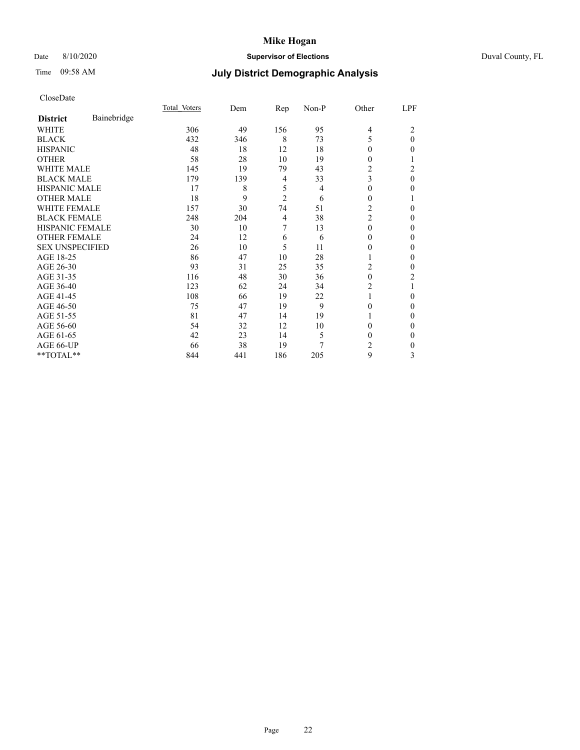# Date 8/10/2020 **Supervisor of Elections** Duval County, FL

# Time 09:58 AM **July District Demographic Analysis**

|                        |             | Total Voters | Dem | Rep            | Non-P | Other          | LPF      |
|------------------------|-------------|--------------|-----|----------------|-------|----------------|----------|
| <b>District</b>        | Bainebridge |              |     |                |       |                |          |
| WHITE                  |             | 306          | 49  | 156            | 95    | 4              | 2        |
| <b>BLACK</b>           |             | 432          | 346 | 8              | 73    | 5              | $\theta$ |
| <b>HISPANIC</b>        |             | 48           | 18  | 12             | 18    | 0              | 0        |
| <b>OTHER</b>           |             | 58           | 28  | 10             | 19    | 0              |          |
| <b>WHITE MALE</b>      |             | 145          | 19  | 79             | 43    | 2              | 2        |
| <b>BLACK MALE</b>      |             | 179          | 139 | 4              | 33    | 3              | 0        |
| <b>HISPANIC MALE</b>   |             | 17           | 8   | 5              | 4     | $\Omega$       | 0        |
| <b>OTHER MALE</b>      |             | 18           | 9   | $\overline{2}$ | 6     | $\overline{0}$ |          |
| <b>WHITE FEMALE</b>    |             | 157          | 30  | 74             | 51    | $\overline{2}$ | 0        |
| <b>BLACK FEMALE</b>    |             | 248          | 204 | 4              | 38    | $\overline{c}$ | 0        |
| <b>HISPANIC FEMALE</b> |             | 30           | 10  | 7              | 13    | $\theta$       | 0        |
| <b>OTHER FEMALE</b>    |             | 24           | 12  | 6              | 6     | $\Omega$       | 0        |
| <b>SEX UNSPECIFIED</b> |             | 26           | 10  | 5              | 11    | 0              | 0        |
| AGE 18-25              |             | 86           | 47  | 10             | 28    |                | 0        |
| AGE 26-30              |             | 93           | 31  | 25             | 35    | 2              | 0        |
| AGE 31-35              |             | 116          | 48  | 30             | 36    | $\theta$       | 2        |
| AGE 36-40              |             | 123          | 62  | 24             | 34    | 2              |          |
| AGE 41-45              |             | 108          | 66  | 19             | 22    | 1              | 0        |
| AGE 46-50              |             | 75           | 47  | 19             | 9     | $\theta$       | 0        |
| AGE 51-55              |             | 81           | 47  | 14             | 19    | 1              | 0        |
| AGE 56-60              |             | 54           | 32  | 12             | 10    | 0              | 0        |
| AGE 61-65              |             | 42           | 23  | 14             | 5     | 0              | 0        |
| AGE 66-UP              |             | 66           | 38  | 19             | 7     | 2              | 0        |
| **TOTAL**              |             | 844          | 441 | 186            | 205   | 9              | 3        |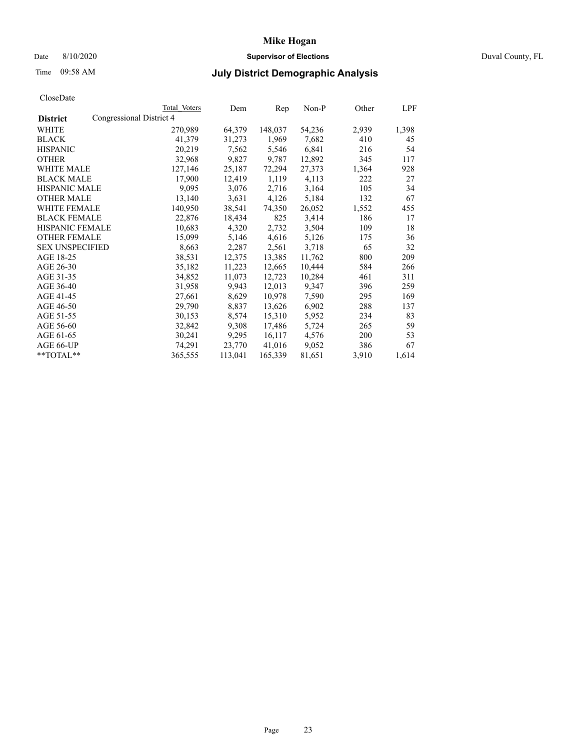# Date 8/10/2020 **Supervisor of Elections** Duval County, FL

# Time 09:58 AM **July District Demographic Analysis**

|                        |                          | Total Voters | Dem     | Rep     | Non-P  | Other | LPF   |
|------------------------|--------------------------|--------------|---------|---------|--------|-------|-------|
| <b>District</b>        | Congressional District 4 |              |         |         |        |       |       |
| WHITE                  |                          | 270,989      | 64,379  | 148,037 | 54,236 | 2,939 | 1,398 |
| <b>BLACK</b>           |                          | 41,379       | 31,273  | 1,969   | 7,682  | 410   | 45    |
| <b>HISPANIC</b>        |                          | 20,219       | 7,562   | 5,546   | 6,841  | 216   | 54    |
| <b>OTHER</b>           |                          | 32,968       | 9,827   | 9,787   | 12,892 | 345   | 117   |
| WHITE MALE             |                          | 127,146      | 25,187  | 72,294  | 27,373 | 1,364 | 928   |
| <b>BLACK MALE</b>      |                          | 17,900       | 12,419  | 1,119   | 4,113  | 222   | 27    |
| <b>HISPANIC MALE</b>   |                          | 9,095        | 3,076   | 2,716   | 3,164  | 105   | 34    |
| <b>OTHER MALE</b>      |                          | 13,140       | 3,631   | 4,126   | 5,184  | 132   | 67    |
| <b>WHITE FEMALE</b>    |                          | 140,950      | 38,541  | 74,350  | 26,052 | 1,552 | 455   |
| <b>BLACK FEMALE</b>    |                          | 22,876       | 18,434  | 825     | 3,414  | 186   | 17    |
| <b>HISPANIC FEMALE</b> |                          | 10,683       | 4,320   | 2,732   | 3,504  | 109   | 18    |
| <b>OTHER FEMALE</b>    |                          | 15,099       | 5,146   | 4,616   | 5,126  | 175   | 36    |
| <b>SEX UNSPECIFIED</b> |                          | 8,663        | 2,287   | 2,561   | 3,718  | 65    | 32    |
| AGE 18-25              |                          | 38,531       | 12,375  | 13,385  | 11,762 | 800   | 209   |
| AGE 26-30              |                          | 35,182       | 11,223  | 12,665  | 10,444 | 584   | 266   |
| AGE 31-35              |                          | 34,852       | 11,073  | 12,723  | 10,284 | 461   | 311   |
| AGE 36-40              |                          | 31,958       | 9,943   | 12,013  | 9,347  | 396   | 259   |
| AGE 41-45              |                          | 27,661       | 8,629   | 10,978  | 7,590  | 295   | 169   |
| AGE 46-50              |                          | 29,790       | 8,837   | 13,626  | 6,902  | 288   | 137   |
| AGE 51-55              |                          | 30,153       | 8,574   | 15,310  | 5,952  | 234   | 83    |
| AGE 56-60              |                          | 32,842       | 9,308   | 17,486  | 5,724  | 265   | 59    |
| AGE 61-65              |                          | 30,241       | 9,295   | 16,117  | 4,576  | 200   | 53    |
| AGE 66-UP              |                          | 74,291       | 23,770  | 41,016  | 9,052  | 386   | 67    |
| $*$ TOTAL $*$          |                          | 365,555      | 113,041 | 165,339 | 81,651 | 3,910 | 1,614 |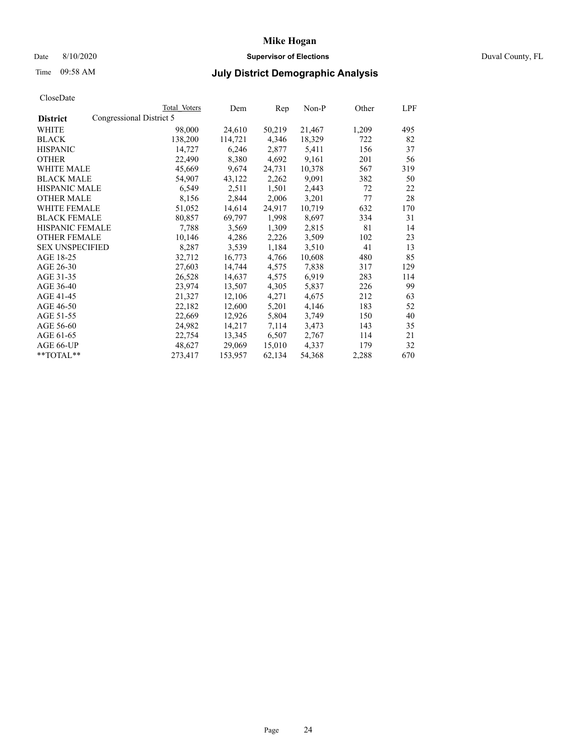## Date 8/10/2020 **Supervisor of Elections** Duval County, FL

# Time 09:58 AM **July District Demographic Analysis**

|                        |                          | Total Voters | Dem     | Rep    | $Non-P$ | Other | LPF |
|------------------------|--------------------------|--------------|---------|--------|---------|-------|-----|
| <b>District</b>        | Congressional District 5 |              |         |        |         |       |     |
| WHITE                  |                          | 98,000       | 24,610  | 50,219 | 21,467  | 1,209 | 495 |
| <b>BLACK</b>           |                          | 138,200      | 114,721 | 4,346  | 18,329  | 722   | 82  |
| <b>HISPANIC</b>        |                          | 14,727       | 6,246   | 2,877  | 5,411   | 156   | 37  |
| <b>OTHER</b>           |                          | 22,490       | 8,380   | 4,692  | 9,161   | 201   | 56  |
| WHITE MALE             |                          | 45,669       | 9,674   | 24,731 | 10,378  | 567   | 319 |
| <b>BLACK MALE</b>      |                          | 54,907       | 43,122  | 2,262  | 9,091   | 382   | 50  |
| <b>HISPANIC MALE</b>   |                          | 6,549        | 2,511   | 1,501  | 2,443   | 72    | 22  |
| <b>OTHER MALE</b>      |                          | 8,156        | 2,844   | 2,006  | 3,201   | 77    | 28  |
| <b>WHITE FEMALE</b>    |                          | 51,052       | 14,614  | 24,917 | 10,719  | 632   | 170 |
| <b>BLACK FEMALE</b>    |                          | 80,857       | 69,797  | 1,998  | 8,697   | 334   | 31  |
| HISPANIC FEMALE        |                          | 7,788        | 3,569   | 1,309  | 2,815   | 81    | 14  |
| <b>OTHER FEMALE</b>    |                          | 10,146       | 4,286   | 2,226  | 3,509   | 102   | 23  |
| <b>SEX UNSPECIFIED</b> |                          | 8,287        | 3,539   | 1,184  | 3,510   | 41    | 13  |
| AGE 18-25              |                          | 32,712       | 16,773  | 4,766  | 10,608  | 480   | 85  |
| AGE 26-30              |                          | 27,603       | 14,744  | 4,575  | 7,838   | 317   | 129 |
| AGE 31-35              |                          | 26,528       | 14,637  | 4,575  | 6,919   | 283   | 114 |
| AGE 36-40              |                          | 23,974       | 13,507  | 4,305  | 5,837   | 226   | 99  |
| AGE 41-45              |                          | 21,327       | 12,106  | 4,271  | 4,675   | 212   | 63  |
| AGE 46-50              |                          | 22,182       | 12,600  | 5,201  | 4,146   | 183   | 52  |
| AGE 51-55              |                          | 22,669       | 12,926  | 5,804  | 3,749   | 150   | 40  |
| AGE 56-60              |                          | 24,982       | 14,217  | 7,114  | 3,473   | 143   | 35  |
| AGE 61-65              |                          | 22,754       | 13,345  | 6,507  | 2,767   | 114   | 21  |
| AGE 66-UP              |                          | 48,627       | 29,069  | 15,010 | 4,337   | 179   | 32  |
| **TOTAL**              |                          | 273,417      | 153,957 | 62,134 | 54,368  | 2,288 | 670 |
|                        |                          |              |         |        |         |       |     |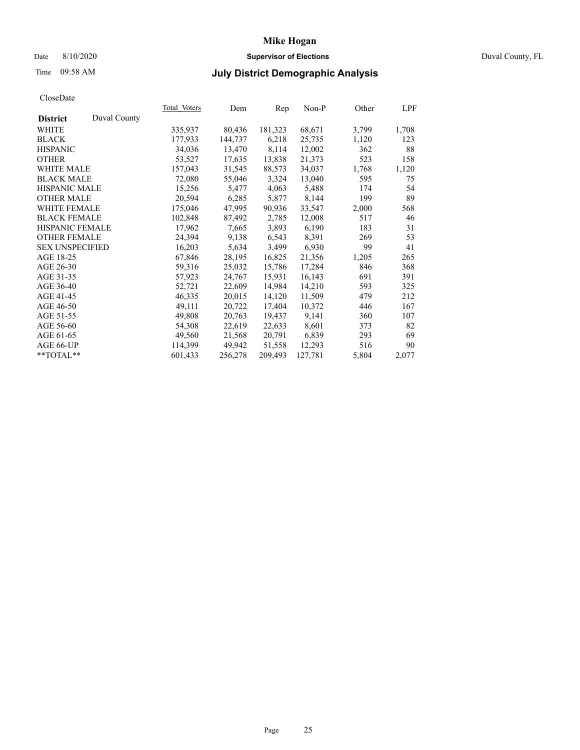## Date 8/10/2020 **Supervisor of Elections** Duval County, FL

# Time 09:58 AM **July District Demographic Analysis**

|                                 | Total Voters | Dem     | Rep     | Non-P   | Other | LPF   |
|---------------------------------|--------------|---------|---------|---------|-------|-------|
| Duval County<br><b>District</b> |              |         |         |         |       |       |
| WHITE                           | 335,937      | 80,436  | 181,323 | 68,671  | 3,799 | 1,708 |
| <b>BLACK</b>                    | 177,933      | 144,737 | 6,218   | 25,735  | 1,120 | 123   |
| <b>HISPANIC</b>                 | 34,036       | 13,470  | 8,114   | 12,002  | 362   | 88    |
| <b>OTHER</b>                    | 53,527       | 17,635  | 13,838  | 21,373  | 523   | 158   |
| <b>WHITE MALE</b>               | 157,043      | 31,545  | 88,573  | 34,037  | 1,768 | 1,120 |
| <b>BLACK MALE</b>               | 72,080       | 55,046  | 3,324   | 13,040  | 595   | 75    |
| <b>HISPANIC MALE</b>            | 15,256       | 5,477   | 4,063   | 5,488   | 174   | 54    |
| <b>OTHER MALE</b>               | 20,594       | 6,285   | 5,877   | 8,144   | 199   | 89    |
| <b>WHITE FEMALE</b>             | 175,046      | 47,995  | 90,936  | 33,547  | 2,000 | 568   |
| <b>BLACK FEMALE</b>             | 102,848      | 87,492  | 2,785   | 12,008  | 517   | 46    |
| HISPANIC FEMALE                 | 17,962       | 7,665   | 3,893   | 6,190   | 183   | 31    |
| <b>OTHER FEMALE</b>             | 24,394       | 9,138   | 6,543   | 8,391   | 269   | 53    |
| <b>SEX UNSPECIFIED</b>          | 16,203       | 5,634   | 3,499   | 6,930   | 99    | 41    |
| AGE 18-25                       | 67,846       | 28,195  | 16,825  | 21,356  | 1,205 | 265   |
| AGE 26-30                       | 59,316       | 25,032  | 15,786  | 17,284  | 846   | 368   |
| AGE 31-35                       | 57,923       | 24,767  | 15,931  | 16,143  | 691   | 391   |
| AGE 36-40                       | 52,721       | 22,609  | 14,984  | 14,210  | 593   | 325   |
| AGE 41-45                       | 46,335       | 20,015  | 14,120  | 11,509  | 479   | 212   |
| AGE 46-50                       | 49,111       | 20,722  | 17,404  | 10,372  | 446   | 167   |
| AGE 51-55                       | 49,808       | 20,763  | 19,437  | 9,141   | 360   | 107   |
| AGE 56-60                       | 54,308       | 22,619  | 22,633  | 8,601   | 373   | 82    |
| AGE 61-65                       | 49,560       | 21,568  | 20,791  | 6,839   | 293   | 69    |
| AGE 66-UP                       | 114,399      | 49,942  | 51,558  | 12,293  | 516   | 90    |
| **TOTAL**                       | 601,433      | 256,278 | 209,493 | 127,781 | 5,804 | 2,077 |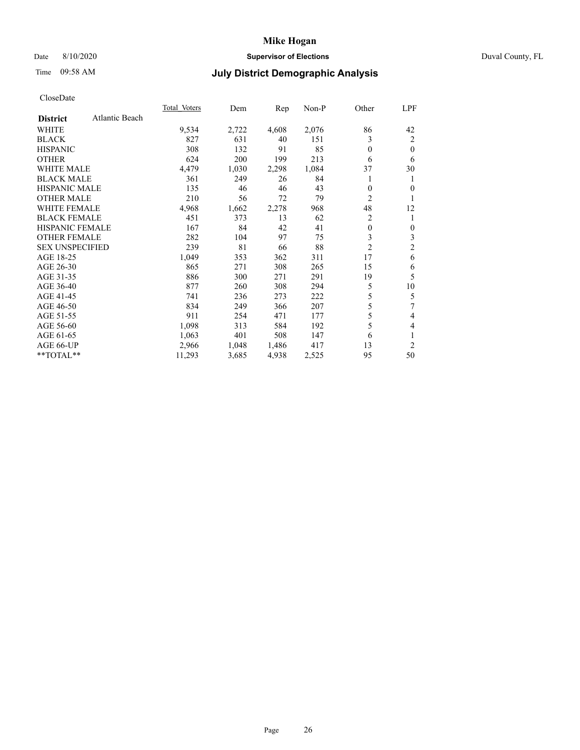## Date 8/10/2020 **Supervisor of Elections** Duval County, FL

# Time 09:58 AM **July District Demographic Analysis**

|                        |                | <b>Total Voters</b> | Dem   | Rep   | $Non-P$ | Other          | LPF            |
|------------------------|----------------|---------------------|-------|-------|---------|----------------|----------------|
| <b>District</b>        | Atlantic Beach |                     |       |       |         |                |                |
| WHITE                  |                | 9,534               | 2,722 | 4,608 | 2,076   | 86             | 42             |
| <b>BLACK</b>           |                | 827                 | 631   | 40    | 151     | 3              | $\overline{2}$ |
| <b>HISPANIC</b>        |                | 308                 | 132   | 91    | 85      | $\theta$       | $\theta$       |
| <b>OTHER</b>           |                | 624                 | 200   | 199   | 213     | 6              | 6              |
| <b>WHITE MALE</b>      |                | 4,479               | 1,030 | 2,298 | 1,084   | 37             | 30             |
| <b>BLACK MALE</b>      |                | 361                 | 249   | 26    | 84      |                | 1              |
| <b>HISPANIC MALE</b>   |                | 135                 | 46    | 46    | 43      | $\theta$       | 0              |
| <b>OTHER MALE</b>      |                | 210                 | 56    | 72    | 79      | 2              | 1              |
| <b>WHITE FEMALE</b>    |                | 4,968               | 1,662 | 2,278 | 968     | 48             | 12             |
| <b>BLACK FEMALE</b>    |                | 451                 | 373   | 13    | 62      | $\overline{c}$ | 1              |
| <b>HISPANIC FEMALE</b> |                | 167                 | 84    | 42    | 41      | $\mathbf{0}$   | 0              |
| <b>OTHER FEMALE</b>    |                | 282                 | 104   | 97    | 75      | 3              | 3              |
| <b>SEX UNSPECIFIED</b> |                | 239                 | 81    | 66    | 88      | $\overline{c}$ | $\mathfrak{2}$ |
| AGE 18-25              |                | 1,049               | 353   | 362   | 311     | 17             | 6              |
| AGE 26-30              |                | 865                 | 271   | 308   | 265     | 15             | 6              |
| AGE 31-35              |                | 886                 | 300   | 271   | 291     | 19             | 5              |
| AGE 36-40              |                | 877                 | 260   | 308   | 294     | 5              | 10             |
| AGE 41-45              |                | 741                 | 236   | 273   | 222     | 5              | 5              |
| AGE 46-50              |                | 834                 | 249   | 366   | 207     | 5              | 7              |
| AGE 51-55              |                | 911                 | 254   | 471   | 177     | 5              | 4              |
| AGE 56-60              |                | 1,098               | 313   | 584   | 192     | 5              | 4              |
| AGE 61-65              |                | 1,063               | 401   | 508   | 147     | 6              | 1              |
| AGE 66-UP              |                | 2,966               | 1,048 | 1,486 | 417     | 13             | $\overline{2}$ |
| **TOTAL**              |                | 11,293              | 3,685 | 4,938 | 2,525   | 95             | 50             |
|                        |                |                     |       |       |         |                |                |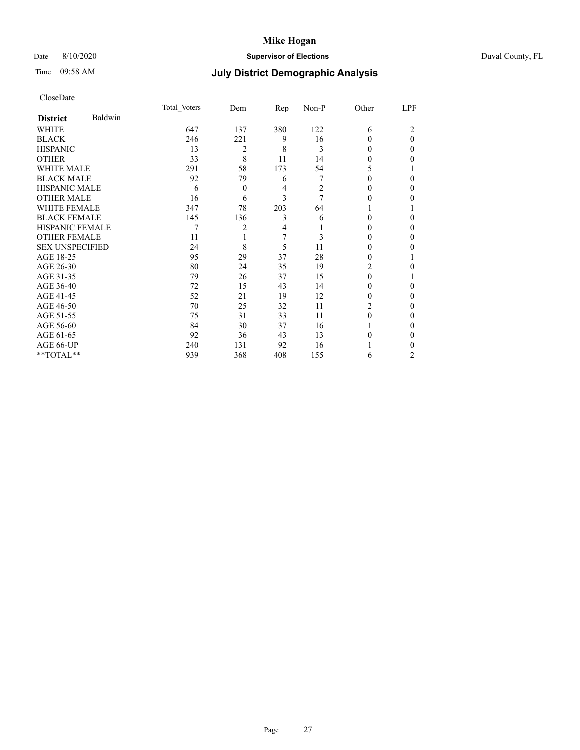# Date 8/10/2020 **Supervisor of Elections** Duval County, FL

# Time 09:58 AM **July District Demographic Analysis**

|                        |         | Total Voters | Dem            | $\mathbf{Rep}$ | Non-P | Other | LPF      |
|------------------------|---------|--------------|----------------|----------------|-------|-------|----------|
| <b>District</b>        | Baldwin |              |                |                |       |       |          |
| WHITE                  |         | 647          | 137            | 380            | 122   | 6     | 2        |
| <b>BLACK</b>           |         | 246          | 221            | 9              | 16    | 0     | $\Omega$ |
| <b>HISPANIC</b>        |         | 13           | $\overline{2}$ | 8              | 3     | 0     | 0        |
| <b>OTHER</b>           |         | 33           | 8              | 11             | 14    | 0     | 0        |
| WHITE MALE             |         | 291          | 58             | 173            | 54    | 5     |          |
| <b>BLACK MALE</b>      |         | 92           | 79             | 6              | 7     | 0     | $\Omega$ |
| <b>HISPANIC MALE</b>   |         | 6            | $\theta$       | 4              | 2     | 0     | $_{0}$   |
| <b>OTHER MALE</b>      |         | 16           | 6              | 3              | 7     | 0     | $_{0}$   |
| <b>WHITE FEMALE</b>    |         | 347          | 78             | 203            | 64    |       |          |
| <b>BLACK FEMALE</b>    |         | 145          | 136            | 3              | 6     | 0     | 0        |
| <b>HISPANIC FEMALE</b> |         | 7            | 2              | 4              |       | 0     | $_{0}$   |
| <b>OTHER FEMALE</b>    |         | 11           | 1              | 7              | 3     | 0     | $_{0}$   |
| <b>SEX UNSPECIFIED</b> |         | 24           | 8              | 5              | 11    | 0     | 0        |
| AGE 18-25              |         | 95           | 29             | 37             | 28    | 0     |          |
| AGE 26-30              |         | 80           | 24             | 35             | 19    | 2     | $_{0}$   |
| AGE 31-35              |         | 79           | 26             | 37             | 15    | 0     |          |
| AGE 36-40              |         | 72           | 15             | 43             | 14    | 0     | 0        |
| AGE 41-45              |         | 52           | 21             | 19             | 12    | 0     | 0        |
| AGE 46-50              |         | 70           | 25             | 32             | 11    | 2     | 0        |
| AGE 51-55              |         | 75           | 31             | 33             | 11    | 0     | $_{0}$   |
| AGE 56-60              |         | 84           | 30             | 37             | 16    |       | $_{0}$   |
| AGE 61-65              |         | 92           | 36             | 43             | 13    | 0     | 0        |
| AGE 66-UP              |         | 240          | 131            | 92             | 16    |       | 0        |
| **TOTAL**              |         | 939          | 368            | 408            | 155   | 6     | 2        |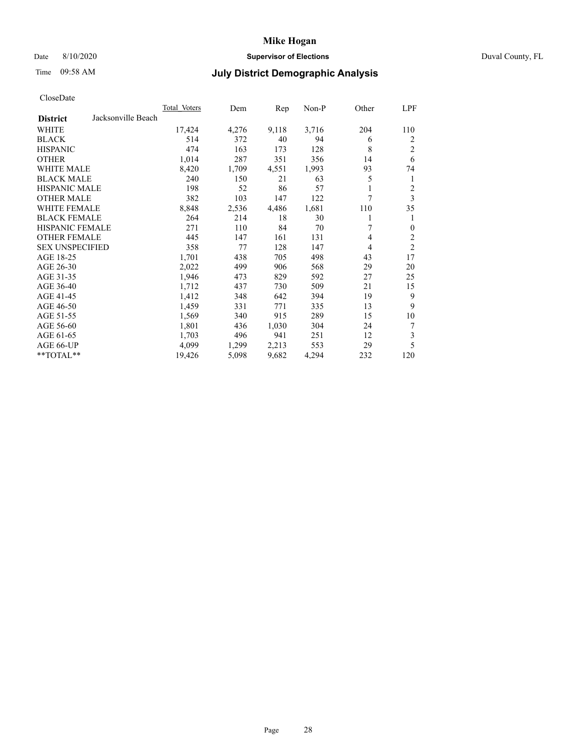# Date 8/10/2020 **Supervisor of Elections** Duval County, FL

# Time 09:58 AM **July District Demographic Analysis**

| <b>Total Voters</b> | Dem   | Rep   | Non-P | Other | LPF            |
|---------------------|-------|-------|-------|-------|----------------|
|                     |       |       |       |       |                |
| 17,424              | 4,276 | 9,118 | 3,716 | 204   | 110            |
| 514                 | 372   | 40    | 94    | 6     | 2              |
| 474                 | 163   | 173   | 128   | 8     | 2              |
| 1,014               | 287   | 351   | 356   | 14    | 6              |
| 8,420               | 1,709 | 4,551 | 1,993 | 93    | 74             |
| 240                 | 150   | 21    | 63    | 5     | 1              |
| 198                 | 52    | 86    | 57    |       | 2              |
| 382                 | 103   | 147   | 122   | 7     | 3              |
| 8,848               | 2,536 | 4,486 | 1,681 | 110   | 35             |
| 264                 | 214   | 18    | 30    |       |                |
| 271                 | 110   | 84    | 70    | 7     | $\mathbf{0}$   |
| 445                 | 147   | 161   | 131   | 4     | 2              |
| 358                 | 77    | 128   | 147   | 4     | $\overline{c}$ |
| 1,701               | 438   | 705   | 498   | 43    | 17             |
| 2,022               | 499   | 906   | 568   | 29    | 20             |
| 1,946               | 473   | 829   | 592   | 27    | 25             |
| 1,712               | 437   | 730   | 509   | 21    | 15             |
| 1,412               | 348   | 642   | 394   | 19    | 9              |
| 1,459               | 331   | 771   | 335   | 13    | 9              |
| 1,569               | 340   | 915   | 289   | 15    | 10             |
| 1,801               | 436   | 1,030 | 304   | 24    | 7              |
| 1,703               | 496   | 941   | 251   | 12    | 3              |
| 4.099               | 1,299 | 2,213 | 553   | 29    | 5              |
| 19,426              | 5,098 | 9,682 | 4,294 | 232   | 120            |
|                     |       |       |       |       |                |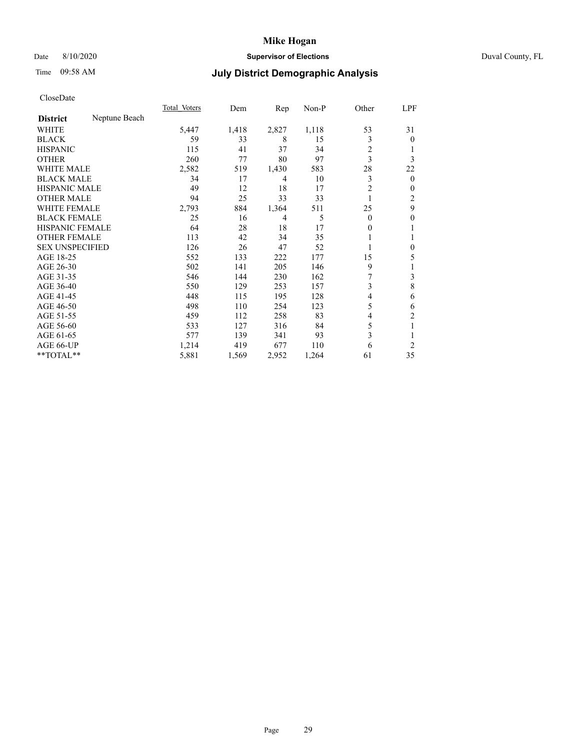# Date 8/10/2020 **Supervisor of Elections** Duval County, FL

# Time 09:58 AM **July District Demographic Analysis**

|                        |               | Total Voters | Dem   | Rep   | Non-P | Other    | LPF            |
|------------------------|---------------|--------------|-------|-------|-------|----------|----------------|
| <b>District</b>        | Neptune Beach |              |       |       |       |          |                |
| WHITE                  |               | 5,447        | 1,418 | 2,827 | 1,118 | 53       | 31             |
| <b>BLACK</b>           |               | 59           | 33    | 8     | 15    | 3        | $\overline{0}$ |
| <b>HISPANIC</b>        |               | 115          | 41    | 37    | 34    | 2        |                |
| <b>OTHER</b>           |               | 260          | 77    | 80    | 97    | 3        | 3              |
| WHITE MALE             |               | 2,582        | 519   | 1,430 | 583   | 28       | 22             |
| <b>BLACK MALE</b>      |               | 34           | 17    | 4     | 10    | 3        | $\mathbf{0}$   |
| <b>HISPANIC MALE</b>   |               | 49           | 12    | 18    | 17    | 2        | $\mathbf{0}$   |
| <b>OTHER MALE</b>      |               | 94           | 25    | 33    | 33    | 1        | 2              |
| WHITE FEMALE           |               | 2,793        | 884   | 1,364 | 511   | 25       | 9              |
| <b>BLACK FEMALE</b>    |               | 25           | 16    | 4     | 5     | $\Omega$ | 0              |
| <b>HISPANIC FEMALE</b> |               | 64           | 28    | 18    | 17    | 0        | 1              |
| <b>OTHER FEMALE</b>    |               | 113          | 42    | 34    | 35    |          |                |
| <b>SEX UNSPECIFIED</b> |               | 126          | 26    | 47    | 52    |          | $\theta$       |
| AGE 18-25              |               | 552          | 133   | 222   | 177   | 15       | 5              |
| AGE 26-30              |               | 502          | 141   | 205   | 146   | 9        | 1              |
| AGE 31-35              |               | 546          | 144   | 230   | 162   | 7        | 3              |
| AGE 36-40              |               | 550          | 129   | 253   | 157   | 3        | $\,8\,$        |
| AGE 41-45              |               | 448          | 115   | 195   | 128   | 4        | 6              |
| AGE 46-50              |               | 498          | 110   | 254   | 123   | 5        | 6              |
| AGE 51-55              |               | 459          | 112   | 258   | 83    | 4        | $\overline{c}$ |
| AGE 56-60              |               | 533          | 127   | 316   | 84    | 5        | 1              |
| AGE 61-65              |               | 577          | 139   | 341   | 93    | 3        | 1              |
| AGE 66-UP              |               | 1,214        | 419   | 677   | 110   | 6        | $\overline{2}$ |
| **TOTAL**              |               | 5,881        | 1,569 | 2,952 | 1,264 | 61       | 35             |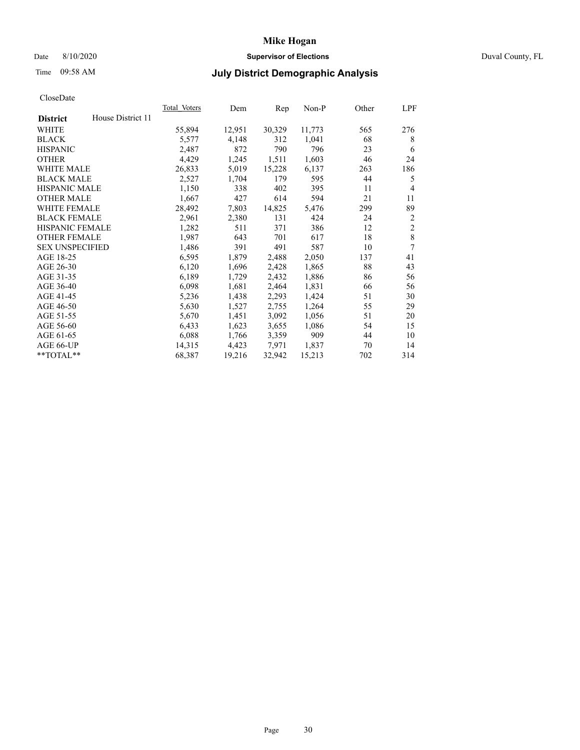# Date 8/10/2020 **Supervisor of Elections** Duval County, FL

# Time 09:58 AM **July District Demographic Analysis**

|                        |                   | Total Voters | Dem    | Rep    | Non-P  | Other | LPF            |
|------------------------|-------------------|--------------|--------|--------|--------|-------|----------------|
| <b>District</b>        | House District 11 |              |        |        |        |       |                |
| WHITE                  |                   | 55,894       | 12,951 | 30,329 | 11,773 | 565   | 276            |
| <b>BLACK</b>           |                   | 5,577        | 4,148  | 312    | 1,041  | 68    | 8              |
| <b>HISPANIC</b>        |                   | 2,487        | 872    | 790    | 796    | 23    | 6              |
| <b>OTHER</b>           |                   | 4,429        | 1,245  | 1,511  | 1,603  | 46    | 24             |
| WHITE MALE             |                   | 26,833       | 5,019  | 15,228 | 6,137  | 263   | 186            |
| <b>BLACK MALE</b>      |                   | 2,527        | 1,704  | 179    | 595    | 44    | 5              |
| <b>HISPANIC MALE</b>   |                   | 1,150        | 338    | 402    | 395    | 11    | 4              |
| <b>OTHER MALE</b>      |                   | 1,667        | 427    | 614    | 594    | 21    | 11             |
| WHITE FEMALE           |                   | 28,492       | 7,803  | 14,825 | 5,476  | 299   | 89             |
| <b>BLACK FEMALE</b>    |                   | 2,961        | 2,380  | 131    | 424    | 24    | $\overline{2}$ |
| <b>HISPANIC FEMALE</b> |                   | 1,282        | 511    | 371    | 386    | 12    | $\overline{2}$ |
| <b>OTHER FEMALE</b>    |                   | 1,987        | 643    | 701    | 617    | 18    | 8              |
| <b>SEX UNSPECIFIED</b> |                   | 1,486        | 391    | 491    | 587    | 10    | 7              |
| AGE 18-25              |                   | 6,595        | 1,879  | 2,488  | 2,050  | 137   | 41             |
| AGE 26-30              |                   | 6,120        | 1,696  | 2,428  | 1,865  | 88    | 43             |
| AGE 31-35              |                   | 6,189        | 1,729  | 2,432  | 1,886  | 86    | 56             |
| AGE 36-40              |                   | 6,098        | 1,681  | 2,464  | 1,831  | 66    | 56             |
| AGE 41-45              |                   | 5,236        | 1,438  | 2,293  | 1,424  | 51    | 30             |
| AGE 46-50              |                   | 5,630        | 1,527  | 2,755  | 1,264  | 55    | 29             |
| AGE 51-55              |                   | 5,670        | 1,451  | 3,092  | 1,056  | 51    | 20             |
| AGE 56-60              |                   | 6,433        | 1,623  | 3,655  | 1,086  | 54    | 15             |
| AGE 61-65              |                   | 6,088        | 1,766  | 3,359  | 909    | 44    | 10             |
| AGE 66-UP              |                   | 14,315       | 4,423  | 7,971  | 1,837  | 70    | 14             |
| $*$ TOTAL $*$          |                   | 68,387       | 19,216 | 32,942 | 15,213 | 702   | 314            |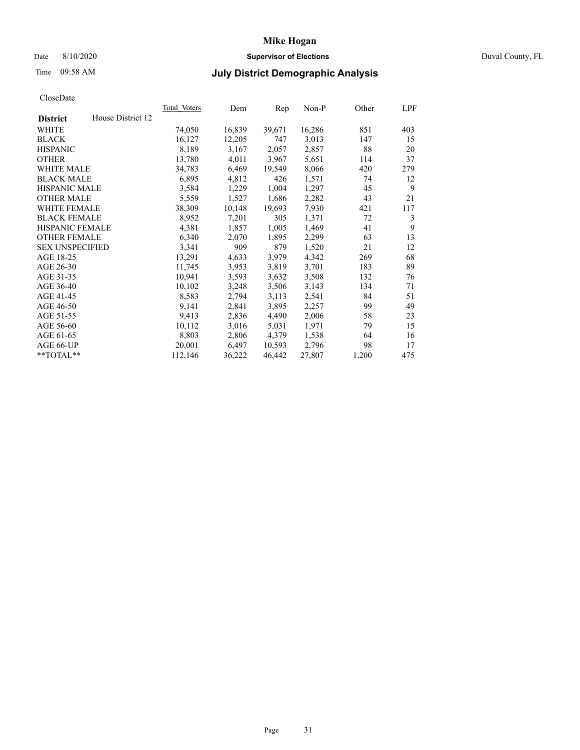# Date 8/10/2020 **Supervisor of Elections** Duval County, FL

# Time 09:58 AM **July District Demographic Analysis**

|                        |                   | Total Voters | Dem    | Rep    | Non-P  | Other | LPF |
|------------------------|-------------------|--------------|--------|--------|--------|-------|-----|
| <b>District</b>        | House District 12 |              |        |        |        |       |     |
| WHITE                  |                   | 74,050       | 16,839 | 39,671 | 16,286 | 851   | 403 |
| <b>BLACK</b>           |                   | 16,127       | 12,205 | 747    | 3,013  | 147   | 15  |
| <b>HISPANIC</b>        |                   | 8,189        | 3,167  | 2,057  | 2,857  | 88    | 20  |
| <b>OTHER</b>           |                   | 13,780       | 4,011  | 3,967  | 5,651  | 114   | 37  |
| WHITE MALE             |                   | 34,783       | 6,469  | 19,549 | 8,066  | 420   | 279 |
| <b>BLACK MALE</b>      |                   | 6,895        | 4,812  | 426    | 1,571  | 74    | 12  |
| <b>HISPANIC MALE</b>   |                   | 3,584        | 1,229  | 1,004  | 1,297  | 45    | 9   |
| <b>OTHER MALE</b>      |                   | 5,559        | 1,527  | 1,686  | 2,282  | 43    | 21  |
| WHITE FEMALE           |                   | 38,309       | 10,148 | 19,693 | 7,930  | 421   | 117 |
| <b>BLACK FEMALE</b>    |                   | 8,952        | 7,201  | 305    | 1,371  | 72    | 3   |
| <b>HISPANIC FEMALE</b> |                   | 4,381        | 1,857  | 1,005  | 1,469  | 41    | 9   |
| <b>OTHER FEMALE</b>    |                   | 6,340        | 2,070  | 1,895  | 2,299  | 63    | 13  |
| <b>SEX UNSPECIFIED</b> |                   | 3,341        | 909    | 879    | 1,520  | 21    | 12  |
| AGE 18-25              |                   | 13,291       | 4,633  | 3,979  | 4,342  | 269   | 68  |
| AGE 26-30              |                   | 11,745       | 3,953  | 3,819  | 3,701  | 183   | 89  |
| AGE 31-35              |                   | 10,941       | 3,593  | 3,632  | 3,508  | 132   | 76  |
| AGE 36-40              |                   | 10,102       | 3,248  | 3,506  | 3,143  | 134   | 71  |
| AGE 41-45              |                   | 8,583        | 2,794  | 3,113  | 2,541  | 84    | 51  |
| AGE 46-50              |                   | 9,141        | 2,841  | 3,895  | 2,257  | 99    | 49  |
| AGE 51-55              |                   | 9,413        | 2,836  | 4,490  | 2,006  | 58    | 23  |
| AGE 56-60              |                   | 10,112       | 3,016  | 5,031  | 1,971  | 79    | 15  |
| AGE 61-65              |                   | 8,803        | 2,806  | 4,379  | 1,538  | 64    | 16  |
| AGE 66-UP              |                   | 20,001       | 6,497  | 10,593 | 2,796  | 98    | 17  |
| $*$ TOTAL $*$          |                   | 112,146      | 36,222 | 46,442 | 27,807 | 1,200 | 475 |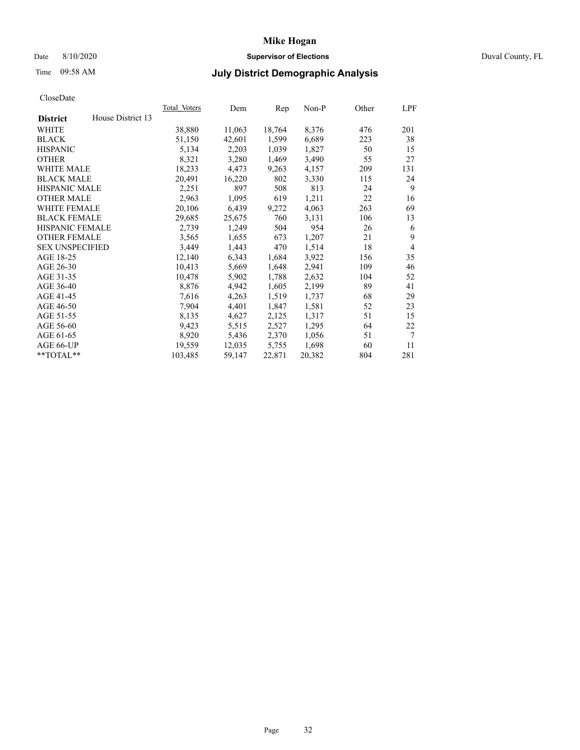## Date 8/10/2020 **Supervisor of Elections** Duval County, FL

# Time 09:58 AM **July District Demographic Analysis**

|                                      | Total Voters | Dem    | Rep    | Non-P  | Other | LPF |
|--------------------------------------|--------------|--------|--------|--------|-------|-----|
| House District 13<br><b>District</b> |              |        |        |        |       |     |
| WHITE                                | 38,880       | 11,063 | 18,764 | 8,376  | 476   | 201 |
| <b>BLACK</b>                         | 51,150       | 42,601 | 1,599  | 6,689  | 223   | 38  |
| <b>HISPANIC</b>                      | 5,134        | 2,203  | 1,039  | 1,827  | 50    | 15  |
| <b>OTHER</b>                         | 8,321        | 3,280  | 1,469  | 3,490  | 55    | 27  |
| WHITE MALE                           | 18,233       | 4,473  | 9,263  | 4,157  | 209   | 131 |
| <b>BLACK MALE</b>                    | 20,491       | 16,220 | 802    | 3,330  | 115   | 24  |
| <b>HISPANIC MALE</b>                 | 2,251        | 897    | 508    | 813    | 24    | 9   |
| <b>OTHER MALE</b>                    | 2,963        | 1,095  | 619    | 1,211  | 22    | 16  |
| <b>WHITE FEMALE</b>                  | 20,106       | 6,439  | 9,272  | 4,063  | 263   | 69  |
| <b>BLACK FEMALE</b>                  | 29,685       | 25,675 | 760    | 3,131  | 106   | 13  |
| HISPANIC FEMALE                      | 2,739        | 1,249  | 504    | 954    | 26    | 6   |
| <b>OTHER FEMALE</b>                  | 3,565        | 1,655  | 673    | 1,207  | 21    | 9   |
| <b>SEX UNSPECIFIED</b>               | 3,449        | 1,443  | 470    | 1,514  | 18    | 4   |
| AGE 18-25                            | 12,140       | 6,343  | 1,684  | 3,922  | 156   | 35  |
| AGE 26-30                            | 10,413       | 5,669  | 1,648  | 2,941  | 109   | 46  |
| AGE 31-35                            | 10,478       | 5,902  | 1,788  | 2,632  | 104   | 52  |
| AGE 36-40                            | 8,876        | 4,942  | 1,605  | 2,199  | 89    | 41  |
| AGE 41-45                            | 7,616        | 4,263  | 1,519  | 1,737  | 68    | 29  |
| AGE 46-50                            | 7,904        | 4,401  | 1,847  | 1,581  | 52    | 23  |
| AGE 51-55                            | 8,135        | 4,627  | 2,125  | 1,317  | 51    | 15  |
| AGE 56-60                            | 9,423        | 5,515  | 2,527  | 1,295  | 64    | 22  |
| AGE 61-65                            | 8,920        | 5,436  | 2,370  | 1,056  | 51    | 7   |
| AGE 66-UP                            | 19,559       | 12,035 | 5,755  | 1,698  | 60    | 11  |
| $*$ $TOTAL**$                        | 103,485      | 59,147 | 22,871 | 20,382 | 804   | 281 |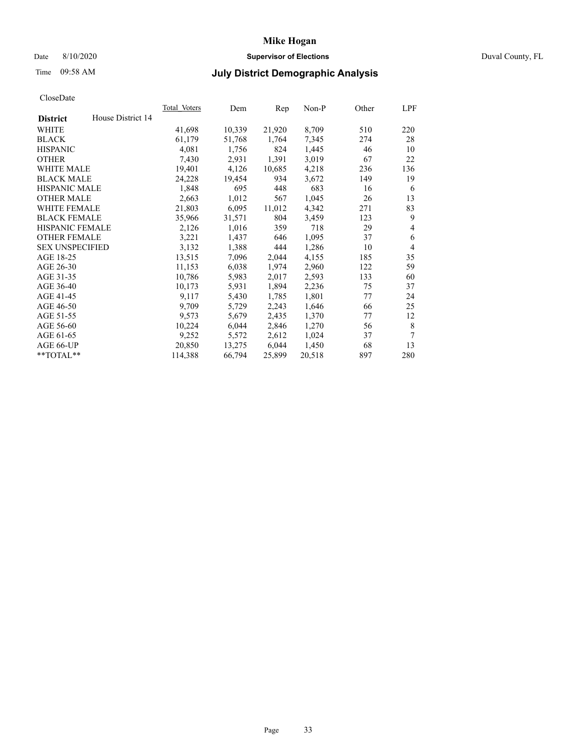## Date 8/10/2020 **Supervisor of Elections** Duval County, FL

# Time 09:58 AM **July District Demographic Analysis**

|                        |                   | Total Voters | Dem    | Rep    | Non-P  | Other | LPF            |
|------------------------|-------------------|--------------|--------|--------|--------|-------|----------------|
| <b>District</b>        | House District 14 |              |        |        |        |       |                |
| WHITE                  |                   | 41,698       | 10,339 | 21,920 | 8,709  | 510   | 220            |
| <b>BLACK</b>           |                   | 61,179       | 51,768 | 1,764  | 7,345  | 274   | 28             |
| <b>HISPANIC</b>        |                   | 4,081        | 1,756  | 824    | 1,445  | 46    | 10             |
| <b>OTHER</b>           |                   | 7,430        | 2,931  | 1,391  | 3,019  | 67    | 22             |
| WHITE MALE             |                   | 19,401       | 4,126  | 10,685 | 4,218  | 236   | 136            |
| <b>BLACK MALE</b>      |                   | 24,228       | 19,454 | 934    | 3,672  | 149   | 19             |
| <b>HISPANIC MALE</b>   |                   | 1,848        | 695    | 448    | 683    | 16    | 6              |
| <b>OTHER MALE</b>      |                   | 2,663        | 1,012  | 567    | 1,045  | 26    | 13             |
| WHITE FEMALE           |                   | 21,803       | 6,095  | 11,012 | 4,342  | 271   | 83             |
| <b>BLACK FEMALE</b>    |                   | 35,966       | 31,571 | 804    | 3,459  | 123   | 9              |
| <b>HISPANIC FEMALE</b> |                   | 2,126        | 1,016  | 359    | 718    | 29    | 4              |
| <b>OTHER FEMALE</b>    |                   | 3,221        | 1,437  | 646    | 1,095  | 37    | 6              |
| <b>SEX UNSPECIFIED</b> |                   | 3,132        | 1,388  | 444    | 1,286  | 10    | $\overline{4}$ |
| AGE 18-25              |                   | 13,515       | 7,096  | 2,044  | 4,155  | 185   | 35             |
| AGE 26-30              |                   | 11,153       | 6,038  | 1,974  | 2,960  | 122   | 59             |
| AGE 31-35              |                   | 10,786       | 5,983  | 2,017  | 2,593  | 133   | 60             |
| AGE 36-40              |                   | 10,173       | 5,931  | 1,894  | 2,236  | 75    | 37             |
| AGE 41-45              |                   | 9,117        | 5,430  | 1,785  | 1,801  | 77    | 24             |
| AGE 46-50              |                   | 9,709        | 5,729  | 2,243  | 1,646  | 66    | 25             |
| AGE 51-55              |                   | 9,573        | 5,679  | 2,435  | 1,370  | 77    | 12             |
| AGE 56-60              |                   | 10,224       | 6,044  | 2,846  | 1,270  | 56    | 8              |
| AGE 61-65              |                   | 9,252        | 5,572  | 2,612  | 1,024  | 37    | 7              |
| AGE 66-UP              |                   | 20,850       | 13,275 | 6,044  | 1,450  | 68    | 13             |
| **TOTAL**              |                   | 114,388      | 66,794 | 25,899 | 20,518 | 897   | 280            |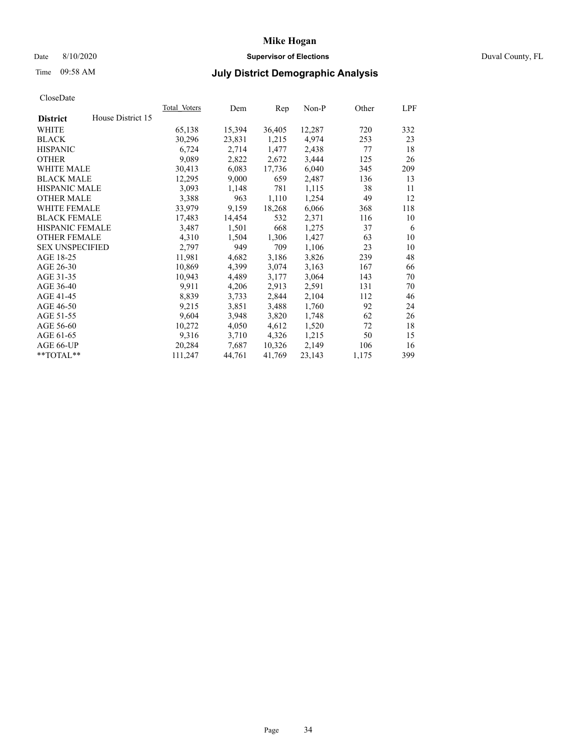## Date 8/10/2020 **Supervisor of Elections** Duval County, FL

# Time 09:58 AM **July District Demographic Analysis**

| House District 15<br><b>District</b><br>720<br>WHITE<br>65,138<br>15,394<br>36,405<br>12,287<br>30,296<br>1,215<br>4,974<br><b>BLACK</b><br>23,831<br>253<br><b>HISPANIC</b><br>6,724<br>2,714<br>1,477<br>2,438<br>77<br>9,089<br><b>OTHER</b><br>2,672<br>3,444<br>125<br>2,822<br>30,413<br>6,040<br><b>WHITE MALE</b><br>6,083<br>17,736<br>345 | 332<br>23<br>18<br>26<br>209<br>13<br>11 |
|-----------------------------------------------------------------------------------------------------------------------------------------------------------------------------------------------------------------------------------------------------------------------------------------------------------------------------------------------------|------------------------------------------|
|                                                                                                                                                                                                                                                                                                                                                     |                                          |
|                                                                                                                                                                                                                                                                                                                                                     |                                          |
|                                                                                                                                                                                                                                                                                                                                                     |                                          |
|                                                                                                                                                                                                                                                                                                                                                     |                                          |
|                                                                                                                                                                                                                                                                                                                                                     |                                          |
|                                                                                                                                                                                                                                                                                                                                                     |                                          |
| <b>BLACK MALE</b><br>12,295<br>9,000<br>659<br>2,487<br>136                                                                                                                                                                                                                                                                                         |                                          |
| <b>HISPANIC MALE</b><br>3,093<br>781<br>1,115<br>38<br>1,148                                                                                                                                                                                                                                                                                        |                                          |
| 3,388<br>1,254<br><b>OTHER MALE</b><br>963<br>1,110<br>49                                                                                                                                                                                                                                                                                           | 12                                       |
| WHITE FEMALE<br>33,979<br>18,268<br>9,159<br>6,066<br>368                                                                                                                                                                                                                                                                                           | 118                                      |
| <b>BLACK FEMALE</b><br>17,483<br>14,454<br>532<br>2,371<br>116                                                                                                                                                                                                                                                                                      | 10                                       |
| HISPANIC FEMALE<br>668<br>3,487<br>1,501<br>1,275<br>37                                                                                                                                                                                                                                                                                             | 6                                        |
| <b>OTHER FEMALE</b><br>4,310<br>1,427<br>63<br>1,504<br>1,306                                                                                                                                                                                                                                                                                       | 10                                       |
| 949<br>709<br>1,106<br><b>SEX UNSPECIFIED</b><br>2,797<br>23                                                                                                                                                                                                                                                                                        | 10                                       |
| AGE 18-25<br>11,981<br>239<br>4,682<br>3,186<br>3,826                                                                                                                                                                                                                                                                                               | 48                                       |
| AGE 26-30<br>10,869<br>4,399<br>3,074<br>3,163<br>167                                                                                                                                                                                                                                                                                               | 66                                       |
| AGE 31-35<br>10,943<br>4,489<br>3,177<br>3,064<br>143                                                                                                                                                                                                                                                                                               | 70                                       |
| AGE 36-40<br>9,911<br>4,206<br>2,913<br>2,591<br>131                                                                                                                                                                                                                                                                                                | 70                                       |
| 2,104<br>AGE 41-45<br>8,839<br>2,844<br>3,733<br>112                                                                                                                                                                                                                                                                                                | 46                                       |
| AGE 46-50<br>9,215<br>3,851<br>1,760<br>92<br>3,488                                                                                                                                                                                                                                                                                                 | 24                                       |
| 9,604<br>AGE 51-55<br>3,948<br>3,820<br>1,748<br>62                                                                                                                                                                                                                                                                                                 | 26                                       |
| 10,272<br>AGE 56-60<br>4,050<br>4,612<br>1,520<br>72                                                                                                                                                                                                                                                                                                | 18                                       |
| 9,316<br>4,326<br>1,215<br>AGE 61-65<br>3,710<br>50                                                                                                                                                                                                                                                                                                 | 15                                       |
| 10,326<br>2,149<br>AGE 66-UP<br>20,284<br>106<br>7,687                                                                                                                                                                                                                                                                                              | 16                                       |
| **TOTAL**<br>111,247<br>44,761<br>41,769<br>23,143<br>1,175                                                                                                                                                                                                                                                                                         | 399                                      |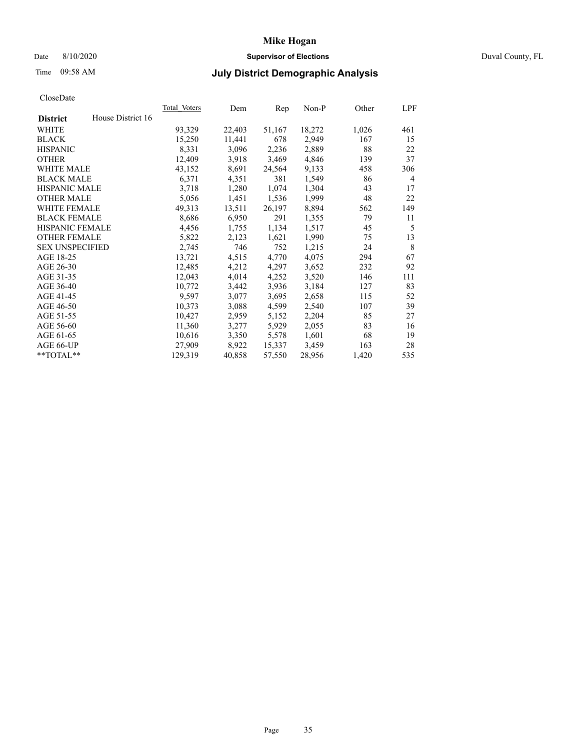# Date 8/10/2020 **Supervisor of Elections** Duval County, FL

# Time 09:58 AM **July District Demographic Analysis**

|                        |                   | Total Voters | Dem    | Rep    | Non-P  | Other | LPF |
|------------------------|-------------------|--------------|--------|--------|--------|-------|-----|
| <b>District</b>        | House District 16 |              |        |        |        |       |     |
| WHITE                  |                   | 93,329       | 22,403 | 51,167 | 18,272 | 1,026 | 461 |
| <b>BLACK</b>           |                   | 15,250       | 11,441 | 678    | 2,949  | 167   | 15  |
| <b>HISPANIC</b>        |                   | 8,331        | 3,096  | 2,236  | 2,889  | 88    | 22  |
| <b>OTHER</b>           |                   | 12,409       | 3,918  | 3,469  | 4,846  | 139   | 37  |
| WHITE MALE             |                   | 43,152       | 8,691  | 24,564 | 9,133  | 458   | 306 |
| <b>BLACK MALE</b>      |                   | 6,371        | 4,351  | 381    | 1,549  | 86    | 4   |
| <b>HISPANIC MALE</b>   |                   | 3,718        | 1,280  | 1,074  | 1,304  | 43    | 17  |
| <b>OTHER MALE</b>      |                   | 5,056        | 1,451  | 1,536  | 1,999  | 48    | 22  |
| WHITE FEMALE           |                   | 49,313       | 13,511 | 26,197 | 8,894  | 562   | 149 |
| <b>BLACK FEMALE</b>    |                   | 8,686        | 6,950  | 291    | 1,355  | 79    | 11  |
| <b>HISPANIC FEMALE</b> |                   | 4,456        | 1,755  | 1,134  | 1,517  | 45    | 5   |
| <b>OTHER FEMALE</b>    |                   | 5,822        | 2,123  | 1,621  | 1,990  | 75    | 13  |
| <b>SEX UNSPECIFIED</b> |                   | 2,745        | 746    | 752    | 1,215  | 24    | 8   |
| AGE 18-25              |                   | 13,721       | 4,515  | 4,770  | 4,075  | 294   | 67  |
| AGE 26-30              |                   | 12,485       | 4,212  | 4,297  | 3,652  | 232   | 92  |
| AGE 31-35              |                   | 12,043       | 4,014  | 4,252  | 3,520  | 146   | 111 |
| AGE 36-40              |                   | 10,772       | 3,442  | 3,936  | 3,184  | 127   | 83  |
| AGE 41-45              |                   | 9,597        | 3,077  | 3,695  | 2,658  | 115   | 52  |
| AGE 46-50              |                   | 10,373       | 3,088  | 4,599  | 2,540  | 107   | 39  |
| AGE 51-55              |                   | 10,427       | 2,959  | 5,152  | 2,204  | 85    | 27  |
| AGE 56-60              |                   | 11,360       | 3,277  | 5,929  | 2,055  | 83    | 16  |
| AGE 61-65              |                   | 10,616       | 3,350  | 5,578  | 1,601  | 68    | 19  |
| AGE 66-UP              |                   | 27,909       | 8,922  | 15,337 | 3,459  | 163   | 28  |
| $*$ TOTAL $*$          |                   | 129,319      | 40,858 | 57,550 | 28,956 | 1,420 | 535 |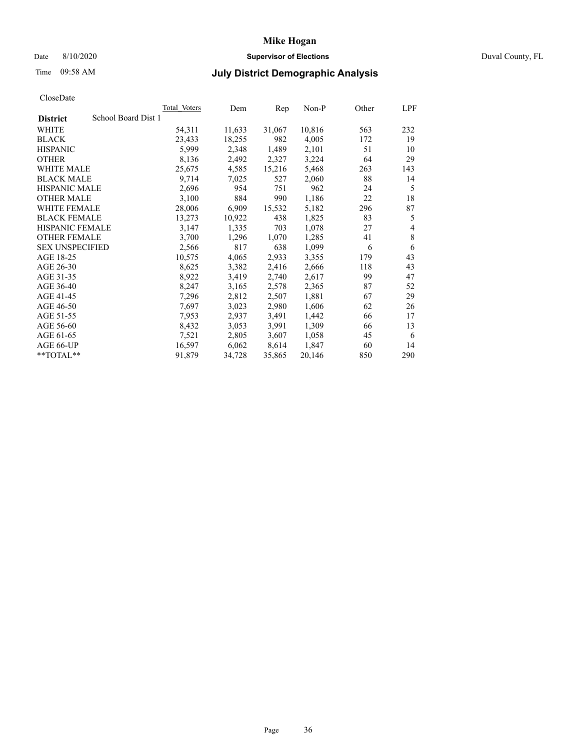# Date 8/10/2020 **Supervisor of Elections** Duval County, FL

# Time 09:58 AM **July District Demographic Analysis**

|                                        | Total Voters | Dem    | Rep    | $Non-P$ | Other | LPF |
|----------------------------------------|--------------|--------|--------|---------|-------|-----|
| School Board Dist 1<br><b>District</b> |              |        |        |         |       |     |
| WHITE                                  | 54,311       | 11,633 | 31,067 | 10,816  | 563   | 232 |
| <b>BLACK</b>                           | 23,433       | 18,255 | 982    | 4,005   | 172   | 19  |
| <b>HISPANIC</b>                        | 5,999        | 2,348  | 1,489  | 2,101   | 51    | 10  |
| <b>OTHER</b>                           | 8,136        | 2,492  | 2,327  | 3,224   | 64    | 29  |
| WHITE MALE                             | 25,675       | 4,585  | 15,216 | 5,468   | 263   | 143 |
| <b>BLACK MALE</b>                      | 9,714        | 7,025  | 527    | 2,060   | 88    | 14  |
| <b>HISPANIC MALE</b>                   | 2,696        | 954    | 751    | 962     | 24    | 5   |
| <b>OTHER MALE</b>                      | 3,100        | 884    | 990    | 1,186   | 22    | 18  |
| <b>WHITE FEMALE</b>                    | 28,006       | 6,909  | 15,532 | 5,182   | 296   | 87  |
| <b>BLACK FEMALE</b>                    | 13,273       | 10,922 | 438    | 1,825   | 83    | 5   |
| HISPANIC FEMALE                        | 3,147        | 1,335  | 703    | 1,078   | 27    | 4   |
| <b>OTHER FEMALE</b>                    | 3,700        | 1,296  | 1,070  | 1,285   | 41    | 8   |
| <b>SEX UNSPECIFIED</b>                 | 2,566        | 817    | 638    | 1,099   | 6     | 6   |
| AGE 18-25                              | 10,575       | 4,065  | 2,933  | 3,355   | 179   | 43  |
| AGE 26-30                              | 8,625        | 3,382  | 2,416  | 2,666   | 118   | 43  |
| AGE 31-35                              | 8,922        | 3,419  | 2,740  | 2,617   | 99    | 47  |
| AGE 36-40                              | 8,247        | 3,165  | 2,578  | 2,365   | 87    | 52  |
| AGE 41-45                              | 7,296        | 2,812  | 2,507  | 1,881   | 67    | 29  |
| AGE 46-50                              | 7,697        | 3,023  | 2,980  | 1,606   | 62    | 26  |
| AGE 51-55                              | 7,953        | 2,937  | 3,491  | 1,442   | 66    | 17  |
| AGE 56-60                              | 8,432        | 3,053  | 3,991  | 1,309   | 66    | 13  |
| AGE 61-65                              | 7,521        | 2,805  | 3,607  | 1,058   | 45    | 6   |
| AGE 66-UP                              | 16,597       | 6,062  | 8,614  | 1,847   | 60    | 14  |
| **TOTAL**                              | 91,879       | 34,728 | 35,865 | 20,146  | 850   | 290 |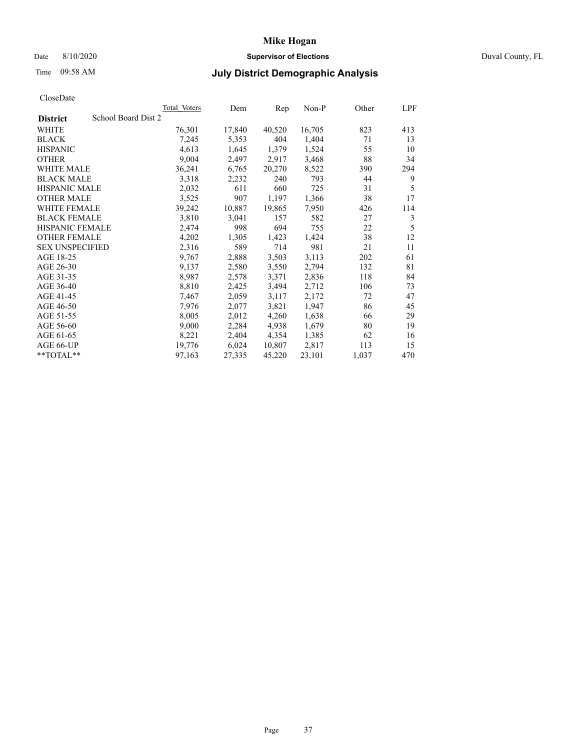# Date 8/10/2020 **Supervisor of Elections** Duval County, FL

# Time 09:58 AM **July District Demographic Analysis**

|                                        | Total Voters | Dem    | Rep    | Non-P  | Other | LPF |
|----------------------------------------|--------------|--------|--------|--------|-------|-----|
| School Board Dist 2<br><b>District</b> |              |        |        |        |       |     |
| WHITE                                  | 76,301       | 17,840 | 40,520 | 16,705 | 823   | 413 |
| <b>BLACK</b>                           | 7,245        | 5,353  | 404    | 1,404  | 71    | 13  |
| <b>HISPANIC</b>                        | 4,613        | 1,645  | 1,379  | 1,524  | 55    | 10  |
| <b>OTHER</b>                           | 9,004        | 2,497  | 2,917  | 3,468  | 88    | 34  |
| WHITE MALE                             | 36,241       | 6,765  | 20,270 | 8,522  | 390   | 294 |
| <b>BLACK MALE</b>                      | 3,318        | 2,232  | 240    | 793    | 44    | 9   |
| <b>HISPANIC MALE</b>                   | 2,032        | 611    | 660    | 725    | 31    | 5   |
| <b>OTHER MALE</b>                      | 3,525        | 907    | 1,197  | 1,366  | 38    | 17  |
| WHITE FEMALE                           | 39,242       | 10,887 | 19,865 | 7,950  | 426   | 114 |
| <b>BLACK FEMALE</b>                    | 3,810        | 3,041  | 157    | 582    | 27    | 3   |
| <b>HISPANIC FEMALE</b>                 | 2,474        | 998    | 694    | 755    | 22    | 5   |
| <b>OTHER FEMALE</b>                    | 4,202        | 1,305  | 1,423  | 1,424  | 38    | 12  |
| <b>SEX UNSPECIFIED</b>                 | 2,316        | 589    | 714    | 981    | 21    | 11  |
| AGE 18-25                              | 9,767        | 2,888  | 3,503  | 3,113  | 202   | 61  |
| AGE 26-30                              | 9,137        | 2,580  | 3,550  | 2,794  | 132   | 81  |
| AGE 31-35                              | 8,987        | 2,578  | 3,371  | 2,836  | 118   | 84  |
| AGE 36-40                              | 8,810        | 2,425  | 3,494  | 2,712  | 106   | 73  |
| AGE 41-45                              | 7,467        | 2,059  | 3,117  | 2,172  | 72    | 47  |
| AGE 46-50                              | 7,976        | 2,077  | 3,821  | 1,947  | 86    | 45  |
| AGE 51-55                              | 8,005        | 2,012  | 4,260  | 1,638  | 66    | 29  |
| AGE 56-60                              | 9,000        | 2,284  | 4,938  | 1,679  | 80    | 19  |
| AGE 61-65                              | 8,221        | 2,404  | 4,354  | 1,385  | 62    | 16  |
| AGE 66-UP                              | 19,776       | 6,024  | 10,807 | 2,817  | 113   | 15  |
| $*$ TOTAL $*$                          | 97,163       | 27,335 | 45,220 | 23,101 | 1,037 | 470 |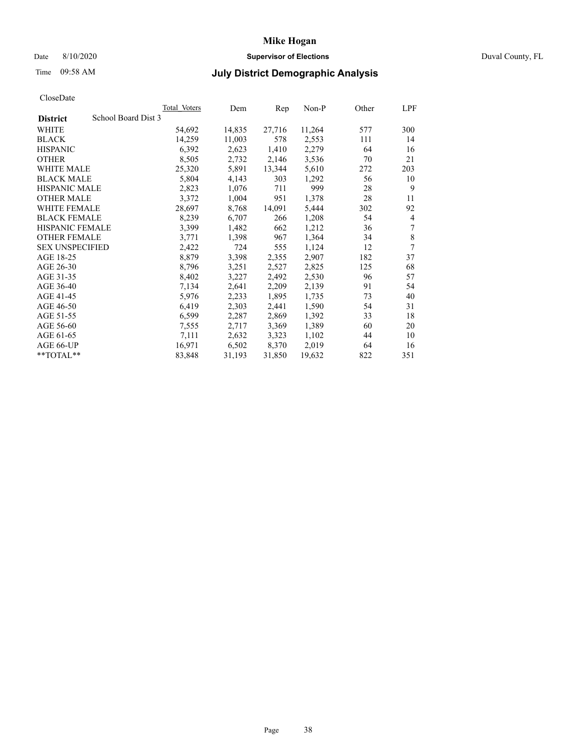# Date 8/10/2020 **Supervisor of Elections** Duval County, FL

# Time 09:58 AM **July District Demographic Analysis**

|                                        | Total Voters | Dem    | Rep    | $Non-P$ | Other | LPF |
|----------------------------------------|--------------|--------|--------|---------|-------|-----|
| School Board Dist 3<br><b>District</b> |              |        |        |         |       |     |
| WHITE                                  | 54,692       | 14,835 | 27,716 | 11,264  | 577   | 300 |
| <b>BLACK</b>                           | 14,259       | 11,003 | 578    | 2,553   | 111   | 14  |
| <b>HISPANIC</b>                        | 6,392        | 2,623  | 1,410  | 2,279   | 64    | 16  |
| <b>OTHER</b>                           | 8,505        | 2,732  | 2,146  | 3,536   | 70    | 21  |
| WHITE MALE                             | 25,320       | 5,891  | 13,344 | 5,610   | 272   | 203 |
| <b>BLACK MALE</b>                      | 5,804        | 4,143  | 303    | 1,292   | 56    | 10  |
| <b>HISPANIC MALE</b>                   | 2,823        | 1,076  | 711    | 999     | 28    | 9   |
| <b>OTHER MALE</b>                      | 3,372        | 1,004  | 951    | 1,378   | 28    | 11  |
| WHITE FEMALE                           | 28,697       | 8,768  | 14,091 | 5,444   | 302   | 92  |
| <b>BLACK FEMALE</b>                    | 8,239        | 6,707  | 266    | 1,208   | 54    | 4   |
| HISPANIC FEMALE                        | 3,399        | 1,482  | 662    | 1,212   | 36    | 7   |
| <b>OTHER FEMALE</b>                    | 3,771        | 1,398  | 967    | 1,364   | 34    | 8   |
| <b>SEX UNSPECIFIED</b>                 | 2,422        | 724    | 555    | 1,124   | 12    | 7   |
| AGE 18-25                              | 8,879        | 3,398  | 2,355  | 2,907   | 182   | 37  |
| AGE 26-30                              | 8,796        | 3,251  | 2,527  | 2,825   | 125   | 68  |
| AGE 31-35                              | 8,402        | 3,227  | 2,492  | 2,530   | 96    | 57  |
| AGE 36-40                              | 7,134        | 2,641  | 2,209  | 2,139   | 91    | 54  |
| AGE 41-45                              | 5,976        | 2,233  | 1,895  | 1,735   | 73    | 40  |
| AGE 46-50                              | 6,419        | 2,303  | 2,441  | 1,590   | 54    | 31  |
| AGE 51-55                              | 6,599        | 2,287  | 2,869  | 1,392   | 33    | 18  |
| AGE 56-60                              | 7,555        | 2,717  | 3,369  | 1,389   | 60    | 20  |
| AGE 61-65                              | 7,111        | 2,632  | 3,323  | 1,102   | 44    | 10  |
| AGE 66-UP                              | 16,971       | 6,502  | 8,370  | 2,019   | 64    | 16  |
| **TOTAL**                              | 83,848       | 31,193 | 31,850 | 19,632  | 822   | 351 |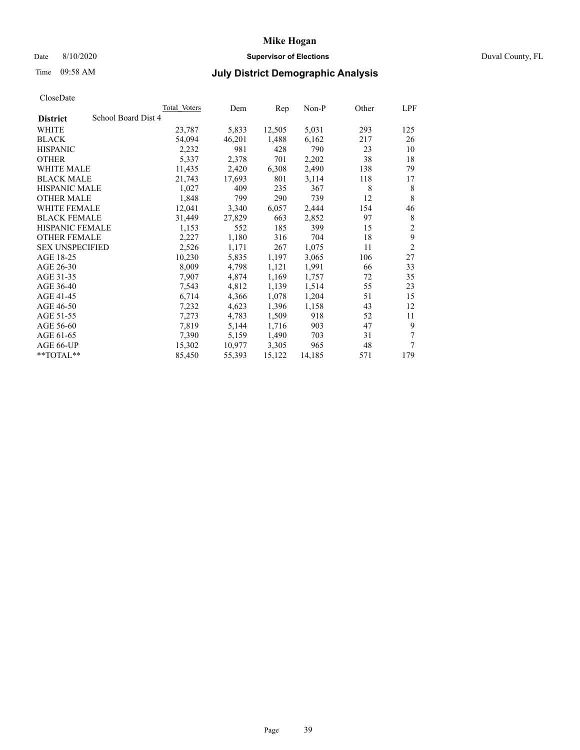# Date 8/10/2020 **Supervisor of Elections** Duval County, FL

# Time 09:58 AM **July District Demographic Analysis**

|                                        | <b>Total Voters</b> | Dem    | Rep    | $Non-P$ | Other | LPF            |
|----------------------------------------|---------------------|--------|--------|---------|-------|----------------|
| School Board Dist 4<br><b>District</b> |                     |        |        |         |       |                |
| WHITE                                  | 23,787              | 5,833  | 12,505 | 5,031   | 293   | 125            |
| <b>BLACK</b>                           | 54,094              | 46,201 | 1,488  | 6,162   | 217   | 26             |
| <b>HISPANIC</b>                        | 2,232               | 981    | 428    | 790     | 23    | 10             |
| <b>OTHER</b>                           | 5,337               | 2,378  | 701    | 2,202   | 38    | 18             |
| WHITE MALE                             | 11,435              | 2,420  | 6,308  | 2,490   | 138   | 79             |
| <b>BLACK MALE</b>                      | 21,743              | 17,693 | 801    | 3,114   | 118   | 17             |
| <b>HISPANIC MALE</b>                   | 1,027               | 409    | 235    | 367     | 8     | 8              |
| <b>OTHER MALE</b>                      | 1,848               | 799    | 290    | 739     | 12    | 8              |
| <b>WHITE FEMALE</b>                    | 12,041              | 3,340  | 6,057  | 2,444   | 154   | 46             |
| <b>BLACK FEMALE</b>                    | 31,449              | 27,829 | 663    | 2,852   | 97    | 8              |
| HISPANIC FEMALE                        | 1,153               | 552    | 185    | 399     | 15    | $\overline{2}$ |
| <b>OTHER FEMALE</b>                    | 2,227               | 1,180  | 316    | 704     | 18    | 9              |
| <b>SEX UNSPECIFIED</b>                 | 2,526               | 1,171  | 267    | 1,075   | 11    | $\overline{2}$ |
| AGE 18-25                              | 10,230              | 5,835  | 1,197  | 3,065   | 106   | 27             |
| AGE 26-30                              | 8,009               | 4,798  | 1,121  | 1,991   | 66    | 33             |
| AGE 31-35                              | 7,907               | 4,874  | 1,169  | 1,757   | 72    | 35             |
| AGE 36-40                              | 7,543               | 4,812  | 1,139  | 1,514   | 55    | 23             |
| AGE 41-45                              | 6,714               | 4,366  | 1,078  | 1,204   | 51    | 15             |
| AGE 46-50                              | 7,232               | 4,623  | 1,396  | 1,158   | 43    | 12             |
| AGE 51-55                              | 7,273               | 4,783  | 1,509  | 918     | 52    | 11             |
| AGE 56-60                              | 7,819               | 5,144  | 1,716  | 903     | 47    | 9              |
| AGE 61-65                              | 7,390               | 5,159  | 1,490  | 703     | 31    | 7              |
| AGE 66-UP                              | 15,302              | 10,977 | 3,305  | 965     | 48    | 7              |
| $*$ $TOTAL**$                          | 85,450              | 55,393 | 15,122 | 14,185  | 571   | 179            |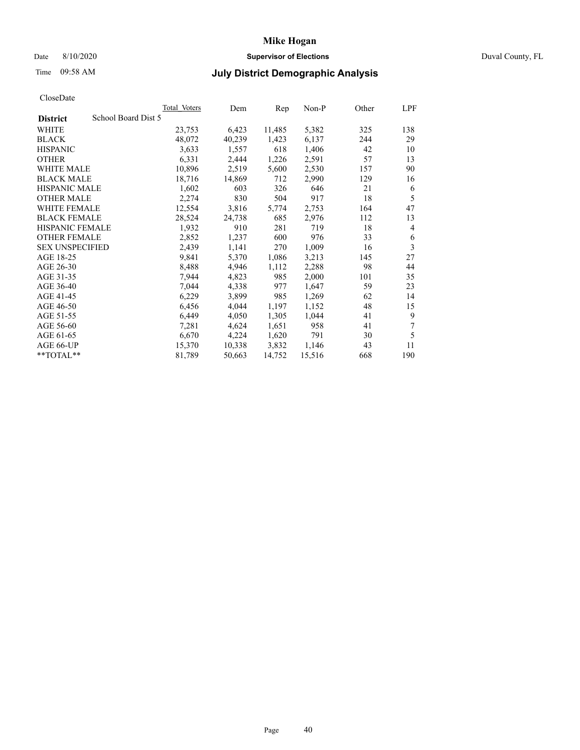# Date 8/10/2020 **Supervisor of Elections** Duval County, FL

# Time 09:58 AM **July District Demographic Analysis**

|                                        | Total Voters | Dem    | Rep    | $Non-P$ | Other | LPF |
|----------------------------------------|--------------|--------|--------|---------|-------|-----|
| School Board Dist 5<br><b>District</b> |              |        |        |         |       |     |
| WHITE                                  | 23,753       | 6,423  | 11,485 | 5,382   | 325   | 138 |
| <b>BLACK</b>                           | 48,072       | 40,239 | 1,423  | 6,137   | 244   | 29  |
| <b>HISPANIC</b>                        | 3,633        | 1,557  | 618    | 1,406   | 42    | 10  |
| <b>OTHER</b>                           | 6,331        | 2,444  | 1,226  | 2,591   | 57    | 13  |
| WHITE MALE                             | 10,896       | 2,519  | 5,600  | 2,530   | 157   | 90  |
| <b>BLACK MALE</b>                      | 18,716       | 14,869 | 712    | 2,990   | 129   | 16  |
| <b>HISPANIC MALE</b>                   | 1,602        | 603    | 326    | 646     | 21    | 6   |
| <b>OTHER MALE</b>                      | 2,274        | 830    | 504    | 917     | 18    | 5   |
| WHITE FEMALE                           | 12,554       | 3,816  | 5,774  | 2,753   | 164   | 47  |
| <b>BLACK FEMALE</b>                    | 28,524       | 24,738 | 685    | 2,976   | 112   | 13  |
| HISPANIC FEMALE                        | 1,932        | 910    | 281    | 719     | 18    | 4   |
| <b>OTHER FEMALE</b>                    | 2,852        | 1,237  | 600    | 976     | 33    | 6   |
| <b>SEX UNSPECIFIED</b>                 | 2,439        | 1,141  | 270    | 1,009   | 16    | 3   |
| AGE 18-25                              | 9,841        | 5,370  | 1,086  | 3,213   | 145   | 27  |
| AGE 26-30                              | 8,488        | 4,946  | 1,112  | 2,288   | 98    | 44  |
| AGE 31-35                              | 7,944        | 4,823  | 985    | 2,000   | 101   | 35  |
| AGE 36-40                              | 7,044        | 4,338  | 977    | 1,647   | 59    | 23  |
| AGE 41-45                              | 6,229        | 3,899  | 985    | 1,269   | 62    | 14  |
| AGE 46-50                              | 6,456        | 4,044  | 1,197  | 1,152   | 48    | 15  |
| AGE 51-55                              | 6,449        | 4,050  | 1,305  | 1,044   | 41    | 9   |
| AGE 56-60                              | 7,281        | 4,624  | 1,651  | 958     | 41    | 7   |
| AGE 61-65                              | 6,670        | 4,224  | 1,620  | 791     | 30    | 5   |
| AGE 66-UP                              | 15,370       | 10,338 | 3,832  | 1,146   | 43    | 11  |
| **TOTAL**                              | 81,789       | 50,663 | 14,752 | 15,516  | 668   | 190 |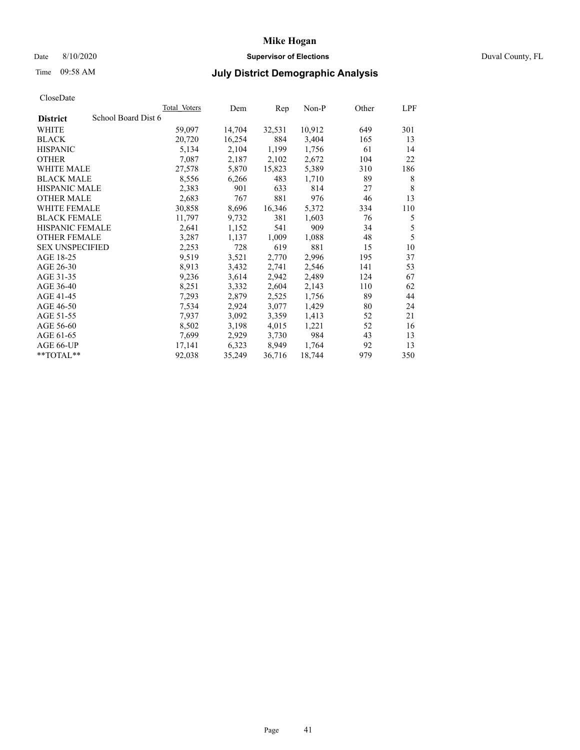# Date 8/10/2020 **Supervisor of Elections** Duval County, FL

# Time 09:58 AM **July District Demographic Analysis**

|                                        | Total Voters | Dem    | Rep    | $Non-P$ | Other | LPF |
|----------------------------------------|--------------|--------|--------|---------|-------|-----|
| School Board Dist 6<br><b>District</b> |              |        |        |         |       |     |
| WHITE                                  | 59,097       | 14,704 | 32,531 | 10,912  | 649   | 301 |
| <b>BLACK</b>                           | 20,720       | 16,254 | 884    | 3,404   | 165   | 13  |
| <b>HISPANIC</b>                        | 5,134        | 2,104  | 1,199  | 1,756   | 61    | 14  |
| <b>OTHER</b>                           | 7,087        | 2,187  | 2,102  | 2,672   | 104   | 22  |
| WHITE MALE                             | 27,578       | 5,870  | 15,823 | 5,389   | 310   | 186 |
| <b>BLACK MALE</b>                      | 8,556        | 6,266  | 483    | 1,710   | 89    | 8   |
| <b>HISPANIC MALE</b>                   | 2,383        | 901    | 633    | 814     | 27    | 8   |
| <b>OTHER MALE</b>                      | 2,683        | 767    | 881    | 976     | 46    | 13  |
| WHITE FEMALE                           | 30,858       | 8,696  | 16,346 | 5,372   | 334   | 110 |
| <b>BLACK FEMALE</b>                    | 11,797       | 9,732  | 381    | 1,603   | 76    | 5   |
| HISPANIC FEMALE                        | 2,641        | 1,152  | 541    | 909     | 34    | 5   |
| <b>OTHER FEMALE</b>                    | 3,287        | 1,137  | 1,009  | 1,088   | 48    | 5   |
| <b>SEX UNSPECIFIED</b>                 | 2,253        | 728    | 619    | 881     | 15    | 10  |
| AGE 18-25                              | 9,519        | 3,521  | 2,770  | 2,996   | 195   | 37  |
| AGE 26-30                              | 8,913        | 3,432  | 2,741  | 2,546   | 141   | 53  |
| AGE 31-35                              | 9,236        | 3,614  | 2,942  | 2,489   | 124   | 67  |
| AGE 36-40                              | 8,251        | 3,332  | 2,604  | 2,143   | 110   | 62  |
| AGE 41-45                              | 7,293        | 2,879  | 2,525  | 1,756   | 89    | 44  |
| AGE 46-50                              | 7,534        | 2,924  | 3,077  | 1,429   | 80    | 24  |
| AGE 51-55                              | 7,937        | 3,092  | 3,359  | 1,413   | 52    | 21  |
| AGE 56-60                              | 8,502        | 3,198  | 4,015  | 1,221   | 52    | 16  |
| AGE 61-65                              | 7,699        | 2,929  | 3,730  | 984     | 43    | 13  |
| AGE 66-UP                              | 17,141       | 6,323  | 8,949  | 1,764   | 92    | 13  |
| **TOTAL**                              | 92,038       | 35,249 | 36,716 | 18,744  | 979   | 350 |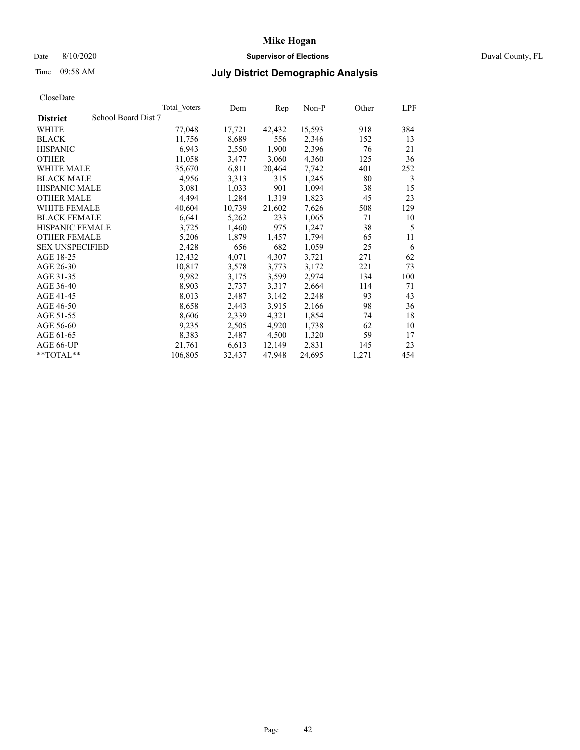## Date 8/10/2020 **Supervisor of Elections** Duval County, FL

# Time 09:58 AM **July District Demographic Analysis**

| <b>Total Voters</b> | Dem                 | Rep    | $Non-P$ | Other | LPF |
|---------------------|---------------------|--------|---------|-------|-----|
|                     |                     |        |         |       |     |
| 77,048              | 17,721              | 42,432 | 15,593  | 918   | 384 |
| 11,756              | 8,689               | 556    | 2,346   | 152   | 13  |
| 6,943               | 2,550               | 1,900  | 2,396   | 76    | 21  |
| 11,058              | 3,477               | 3,060  | 4,360   | 125   | 36  |
| 35,670              | 6,811               | 20,464 | 7,742   | 401   | 252 |
| 4,956               | 3,313               | 315    | 1,245   | 80    | 3   |
| 3,081               | 1,033               | 901    | 1,094   | 38    | 15  |
| 4,494               | 1,284               | 1,319  | 1,823   | 45    | 23  |
| 40,604              | 10,739              | 21,602 | 7,626   | 508   | 129 |
| 6,641               | 5,262               | 233    | 1,065   | 71    | 10  |
| 3,725               | 1,460               | 975    | 1,247   | 38    | 5   |
| 5,206               | 1,879               | 1,457  | 1,794   | 65    | 11  |
| 2,428               | 656                 | 682    | 1,059   | 25    | 6   |
| 12,432              | 4,071               | 4,307  | 3,721   | 271   | 62  |
| 10,817              | 3,578               | 3,773  | 3,172   | 221   | 73  |
| 9,982               | 3,175               | 3,599  | 2,974   | 134   | 100 |
| 8,903               | 2,737               | 3,317  | 2,664   | 114   | 71  |
| 8,013               | 2,487               | 3,142  | 2,248   | 93    | 43  |
| 8,658               | 2,443               | 3,915  | 2,166   | 98    | 36  |
| 8,606               | 2,339               | 4,321  | 1,854   | 74    | 18  |
| 9,235               | 2,505               | 4,920  | 1,738   | 62    | 10  |
| 8,383               | 2,487               | 4,500  | 1,320   | 59    | 17  |
| 21,761              | 6,613               | 12,149 | 2,831   | 145   | 23  |
| 106,805             | 32,437              | 47,948 | 24,695  | 1,271 | 454 |
|                     | School Board Dist 7 |        |         |       |     |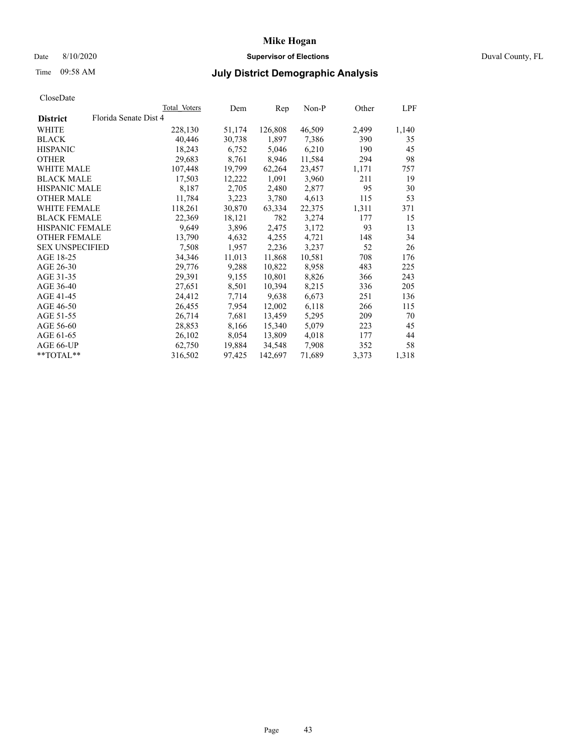## Date 8/10/2020 **Supervisor of Elections** Duval County, FL

# Time 09:58 AM **July District Demographic Analysis**

|                        |                       | Total Voters | Dem    | Rep     | $Non-P$ | Other | LPF   |
|------------------------|-----------------------|--------------|--------|---------|---------|-------|-------|
| <b>District</b>        | Florida Senate Dist 4 |              |        |         |         |       |       |
| WHITE                  |                       | 228,130      | 51,174 | 126,808 | 46,509  | 2,499 | 1,140 |
| <b>BLACK</b>           |                       | 40,446       | 30,738 | 1,897   | 7,386   | 390   | 35    |
| <b>HISPANIC</b>        |                       | 18,243       | 6,752  | 5,046   | 6,210   | 190   | 45    |
| <b>OTHER</b>           |                       | 29,683       | 8,761  | 8,946   | 11,584  | 294   | 98    |
| WHITE MALE             |                       | 107,448      | 19,799 | 62,264  | 23,457  | 1,171 | 757   |
| <b>BLACK MALE</b>      |                       | 17,503       | 12,222 | 1,091   | 3,960   | 211   | 19    |
| <b>HISPANIC MALE</b>   |                       | 8,187        | 2,705  | 2,480   | 2,877   | 95    | 30    |
| <b>OTHER MALE</b>      |                       | 11,784       | 3,223  | 3,780   | 4,613   | 115   | 53    |
| <b>WHITE FEMALE</b>    |                       | 118,261      | 30,870 | 63,334  | 22,375  | 1,311 | 371   |
| <b>BLACK FEMALE</b>    |                       | 22,369       | 18,121 | 782     | 3,274   | 177   | 15    |
| HISPANIC FEMALE        |                       | 9,649        | 3,896  | 2,475   | 3,172   | 93    | 13    |
| <b>OTHER FEMALE</b>    |                       | 13,790       | 4,632  | 4,255   | 4,721   | 148   | 34    |
| <b>SEX UNSPECIFIED</b> |                       | 7,508        | 1,957  | 2,236   | 3,237   | 52    | 26    |
| AGE 18-25              |                       | 34,346       | 11,013 | 11,868  | 10,581  | 708   | 176   |
| AGE 26-30              |                       | 29,776       | 9,288  | 10,822  | 8,958   | 483   | 225   |
| AGE 31-35              |                       | 29,391       | 9,155  | 10,801  | 8,826   | 366   | 243   |
| AGE 36-40              |                       | 27,651       | 8,501  | 10,394  | 8,215   | 336   | 205   |
| AGE 41-45              |                       | 24,412       | 7,714  | 9,638   | 6,673   | 251   | 136   |
| AGE 46-50              |                       | 26,455       | 7,954  | 12,002  | 6,118   | 266   | 115   |
| AGE 51-55              |                       | 26,714       | 7,681  | 13,459  | 5,295   | 209   | 70    |
| AGE 56-60              |                       | 28,853       | 8,166  | 15,340  | 5,079   | 223   | 45    |
| AGE 61-65              |                       | 26,102       | 8,054  | 13,809  | 4,018   | 177   | 44    |
| AGE 66-UP              |                       | 62,750       | 19,884 | 34,548  | 7,908   | 352   | 58    |
| $*$ $TOTAL**$          |                       | 316,502      | 97,425 | 142,697 | 71,689  | 3,373 | 1,318 |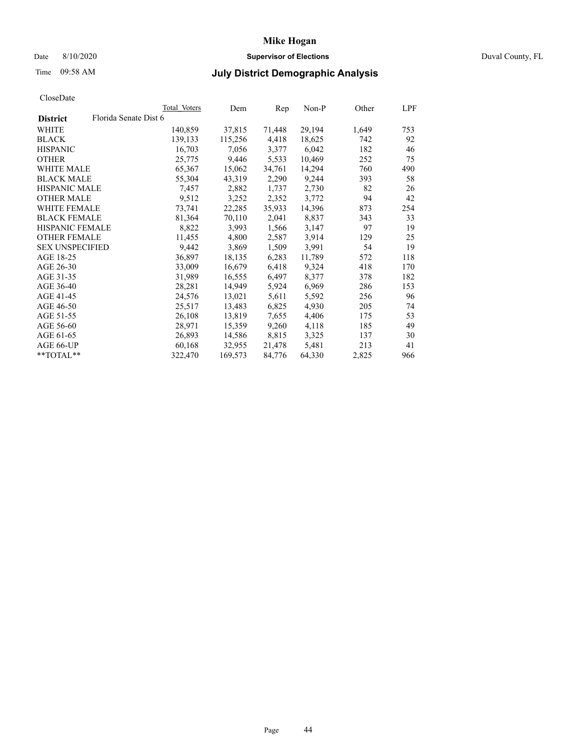## Date 8/10/2020 **Supervisor of Elections** Duval County, FL

# Time 09:58 AM **July District Demographic Analysis**

| Total Voters          | Dem     | Rep    | $Non-P$ |       | LPF   |
|-----------------------|---------|--------|---------|-------|-------|
| Florida Senate Dist 6 |         |        |         |       |       |
| 140,859               | 37,815  | 71,448 | 29,194  | 1,649 | 753   |
| 139,133               | 115,256 | 4,418  | 18,625  | 742   | 92    |
| 16,703                | 7,056   | 3,377  | 6,042   | 182   | 46    |
| 25,775                | 9,446   | 5,533  | 10,469  | 252   | 75    |
| 65,367                | 15,062  | 34,761 | 14,294  | 760   | 490   |
| 55,304                | 43,319  | 2,290  | 9,244   | 393   | 58    |
| 7,457                 | 2,882   | 1,737  | 2,730   | 82    | 26    |
| 9,512                 | 3,252   | 2,352  | 3,772   | 94    | 42    |
| 73,741                | 22,285  | 35,933 | 14,396  | 873   | 254   |
| 81,364                | 70,110  | 2,041  | 8,837   | 343   | 33    |
| 8,822                 | 3,993   | 1,566  | 3,147   | 97    | 19    |
| 11,455                | 4,800   | 2,587  | 3,914   | 129   | 25    |
| 9,442                 | 3,869   | 1,509  | 3,991   | 54    | 19    |
| 36,897                | 18,135  | 6,283  | 11,789  | 572   | 118   |
| 33,009                | 16,679  | 6,418  | 9,324   | 418   | 170   |
| 31,989                | 16,555  | 6,497  | 8,377   | 378   | 182   |
| 28,281                | 14,949  | 5,924  | 6,969   | 286   | 153   |
| 24,576                | 13,021  | 5,611  | 5,592   | 256   | 96    |
| 25,517                | 13,483  | 6,825  | 4,930   | 205   | 74    |
| 26,108                | 13,819  | 7,655  | 4,406   | 175   | 53    |
| 28,971                | 15,359  | 9,260  | 4,118   | 185   | 49    |
| 26,893                | 14,586  | 8,815  | 3,325   | 137   | 30    |
| 60,168                | 32,955  | 21,478 | 5,481   | 213   | 41    |
| 322,470               | 169,573 | 84,776 | 64,330  | 2,825 | 966   |
|                       |         |        |         |       | Other |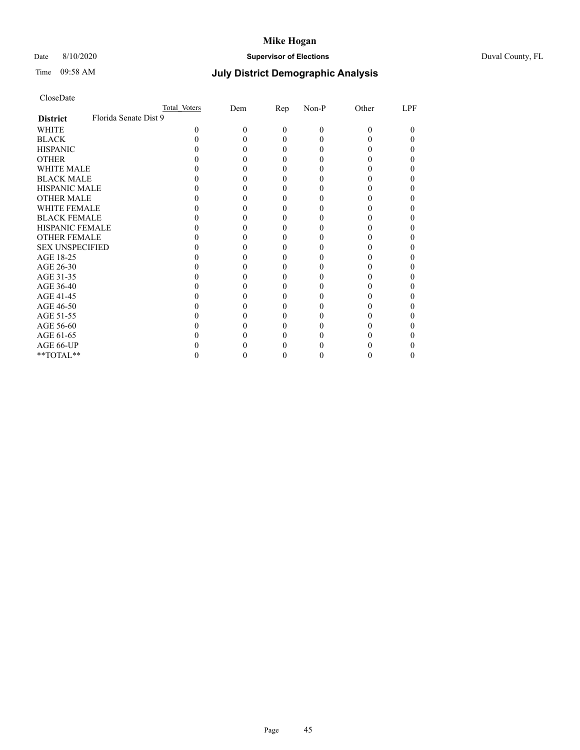# Date 8/10/2020 **Supervisor of Elections** Duval County, FL

# Time 09:58 AM **July District Demographic Analysis**

|                        |                       | Total Voters | Dem | <u>Rep</u> | Non-P    | Other | LPF |
|------------------------|-----------------------|--------------|-----|------------|----------|-------|-----|
| <b>District</b>        | Florida Senate Dist 9 |              |     |            |          |       |     |
| WHITE                  |                       | $\Omega$     | 0   | $\Omega$   | $\Omega$ | 0     | 0   |
| <b>BLACK</b>           |                       |              |     |            |          |       |     |
| <b>HISPANIC</b>        |                       |              |     | 0          |          |       |     |
| <b>OTHER</b>           |                       |              |     |            |          |       |     |
| WHITE MALE             |                       |              |     |            |          |       |     |
| <b>BLACK MALE</b>      |                       |              |     |            |          |       |     |
| <b>HISPANIC MALE</b>   |                       |              |     |            |          |       |     |
| <b>OTHER MALE</b>      |                       |              |     |            |          |       |     |
| <b>WHITE FEMALE</b>    |                       |              |     |            |          |       |     |
| <b>BLACK FEMALE</b>    |                       |              |     |            |          |       |     |
| <b>HISPANIC FEMALE</b> |                       |              |     |            |          |       |     |
| <b>OTHER FEMALE</b>    |                       |              |     |            |          |       |     |
| <b>SEX UNSPECIFIED</b> |                       |              |     |            |          |       |     |
| AGE 18-25              |                       |              |     |            |          |       |     |
| AGE 26-30              |                       |              |     |            |          |       |     |
| AGE 31-35              |                       |              |     |            |          |       |     |
| AGE 36-40              |                       |              |     |            |          |       |     |
| AGE 41-45              |                       |              |     |            |          |       |     |
| AGE 46-50              |                       |              |     |            |          |       |     |
| AGE 51-55              |                       |              |     |            |          |       |     |
| AGE 56-60              |                       |              |     |            |          |       |     |
| AGE 61-65              |                       |              |     |            |          |       |     |
| AGE 66-UP              |                       |              |     |            |          |       |     |
| **TOTAL**              |                       |              |     |            |          |       |     |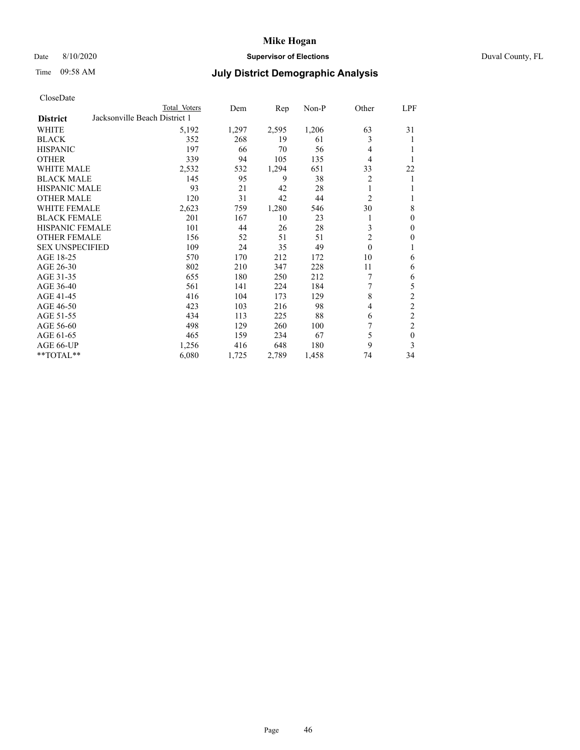# Date 8/10/2020 **Supervisor of Elections** Duval County, FL

# Time 09:58 AM **July District Demographic Analysis**

|                        |                               | Total Voters | Dem   | Rep   | Non-P | Other          | LPF            |
|------------------------|-------------------------------|--------------|-------|-------|-------|----------------|----------------|
| <b>District</b>        | Jacksonville Beach District 1 |              |       |       |       |                |                |
| WHITE                  |                               | 5,192        | 1,297 | 2,595 | 1,206 | 63             | 31             |
| <b>BLACK</b>           |                               | 352          | 268   | 19    | 61    | 3              | 1              |
| <b>HISPANIC</b>        |                               | 197          | 66    | 70    | 56    | 4              | 1              |
| <b>OTHER</b>           |                               | 339          | 94    | 105   | 135   | 4              | 1              |
| <b>WHITE MALE</b>      |                               | 2,532        | 532   | 1,294 | 651   | 33             | 22             |
| <b>BLACK MALE</b>      |                               | 145          | 95    | 9     | 38    | 2              | 1              |
| <b>HISPANIC MALE</b>   |                               | 93           | 21    | 42    | 28    | 1              | 1              |
| <b>OTHER MALE</b>      |                               | 120          | 31    | 42    | 44    | 2              | 1              |
| <b>WHITE FEMALE</b>    |                               | 2,623        | 759   | 1,280 | 546   | 30             | 8              |
| <b>BLACK FEMALE</b>    |                               | 201          | 167   | 10    | 23    |                | $\mathbf{0}$   |
| <b>HISPANIC FEMALE</b> |                               | 101          | 44    | 26    | 28    | 3              | $\mathbf{0}$   |
| <b>OTHER FEMALE</b>    |                               | 156          | 52    | 51    | 51    | $\overline{2}$ | $\mathbf{0}$   |
| <b>SEX UNSPECIFIED</b> |                               | 109          | 24    | 35    | 49    | $\theta$       | 1              |
| AGE 18-25              |                               | 570          | 170   | 212   | 172   | 10             | 6              |
| AGE 26-30              |                               | 802          | 210   | 347   | 228   | 11             | 6              |
| AGE 31-35              |                               | 655          | 180   | 250   | 212   | 7              | 6              |
| AGE 36-40              |                               | 561          | 141   | 224   | 184   | 7              | 5              |
| AGE 41-45              |                               | 416          | 104   | 173   | 129   | 8              | $\overline{c}$ |
| AGE 46-50              |                               | 423          | 103   | 216   | 98    | 4              | $\overline{2}$ |
| AGE 51-55              |                               | 434          | 113   | 225   | 88    | 6              | $\overline{c}$ |
| AGE 56-60              |                               | 498          | 129   | 260   | 100   | 7              | $\overline{c}$ |
| AGE 61-65              |                               | 465          | 159   | 234   | 67    | 5              | $\mathbf{0}$   |
| AGE 66-UP              |                               | 1,256        | 416   | 648   | 180   | 9              | 3              |
| **TOTAL**              |                               | 6,080        | 1,725 | 2,789 | 1,458 | 74             | 34             |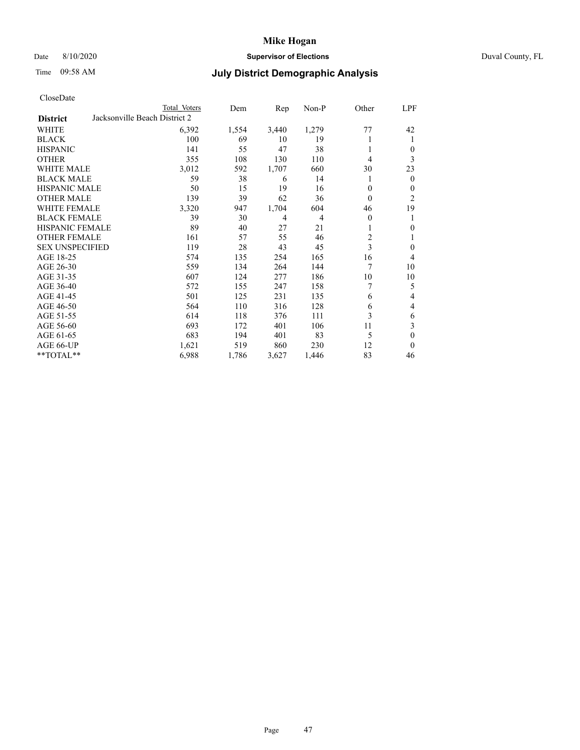## Date 8/10/2020 **Supervisor of Elections** Duval County, FL

# Time 09:58 AM **July District Demographic Analysis**

|                                                  | Total Voters | Dem   | Rep   | Non-P          | Other          | <u>LPF</u>     |
|--------------------------------------------------|--------------|-------|-------|----------------|----------------|----------------|
| Jacksonville Beach District 2<br><b>District</b> |              |       |       |                |                |                |
| WHITE                                            | 6,392        | 1,554 | 3,440 | 1,279          | 77             | 42             |
| <b>BLACK</b>                                     | 100          | 69    | 10    | 19             |                | 1              |
| <b>HISPANIC</b>                                  | 141          | 55    | 47    | 38             | 1              | $\theta$       |
| <b>OTHER</b>                                     | 355          | 108   | 130   | 110            | 4              | 3              |
| WHITE MALE                                       | 3,012        | 592   | 1,707 | 660            | 30             | 23             |
| <b>BLACK MALE</b>                                | 59           | 38    | 6     | 14             | l              | $\overline{0}$ |
| <b>HISPANIC MALE</b>                             | 50           | 15    | 19    | 16             | 0              | $\Omega$       |
| <b>OTHER MALE</b>                                | 139          | 39    | 62    | 36             | $\theta$       | $\overline{2}$ |
| <b>WHITE FEMALE</b>                              | 3,320        | 947   | 1,704 | 604            | 46             | 19             |
| <b>BLACK FEMALE</b>                              | 39           | 30    | 4     | $\overline{4}$ | $\theta$       | 1              |
| <b>HISPANIC FEMALE</b>                           | 89           | 40    | 27    | 21             |                | $\theta$       |
| <b>OTHER FEMALE</b>                              | 161          | 57    | 55    | 46             | $\overline{2}$ | 1              |
| <b>SEX UNSPECIFIED</b>                           | 119          | 28    | 43    | 45             | 3              | $\mathbf{0}$   |
| AGE 18-25                                        | 574          | 135   | 254   | 165            | 16             | 4              |
| AGE 26-30                                        | 559          | 134   | 264   | 144            | 7              | 10             |
| AGE 31-35                                        | 607          | 124   | 277   | 186            | 10             | 10             |
| AGE 36-40                                        | 572          | 155   | 247   | 158            |                | 5              |
| AGE 41-45                                        | 501          | 125   | 231   | 135            | 6              | 4              |
| AGE 46-50                                        | 564          | 110   | 316   | 128            | 6              | 4              |
| AGE 51-55                                        | 614          | 118   | 376   | 111            | 3              | 6              |
| AGE 56-60                                        | 693          | 172   | 401   | 106            | 11             | 3              |
| AGE 61-65                                        | 683          | 194   | 401   | 83             | 5              | $\theta$       |
| AGE 66-UP                                        | 1,621        | 519   | 860   | 230            | 12             | $\theta$       |
| **TOTAL**                                        | 6,988        | 1,786 | 3,627 | 1,446          | 83             | 46             |